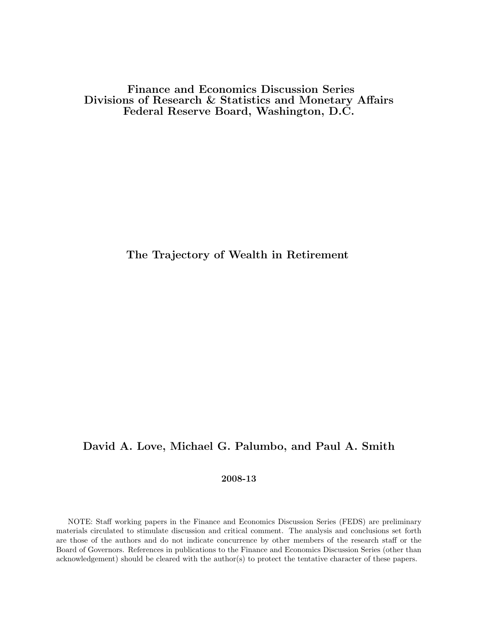Finance and Economics Discussion Series Divisions of Research & Statistics and Monetary Affairs Federal Reserve Board, Washington, D.C.

## The Trajectory of Wealth in Retirement

## David A. Love, Michael G. Palumbo, and Paul A. Smith

### 2008-13

NOTE: Staff working papers in the Finance and Economics Discussion Series (FEDS) are preliminary materials circulated to stimulate discussion and critical comment. The analysis and conclusions set forth are those of the authors and do not indicate concurrence by other members of the research staff or the Board of Governors. References in publications to the Finance and Economics Discussion Series (other than acknowledgement) should be cleared with the author(s) to protect the tentative character of these papers.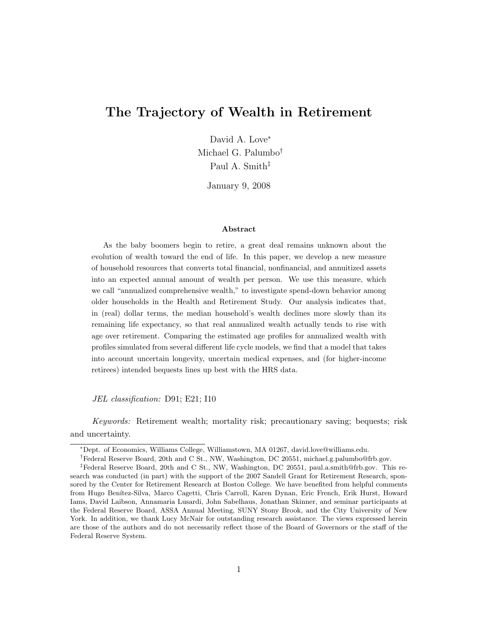# The Trajectory of Wealth in Retirement

David A. Love<sup>∗</sup> Michael G. Palumbo† Paul A. Smith<sup>‡</sup>

January 9, 2008

#### Abstract

As the baby boomers begin to retire, a great deal remains unknown about the evolution of wealth toward the end of life. In this paper, we develop a new measure of household resources that converts total financial, nonfinancial, and annuitized assets into an expected annual amount of wealth per person. We use this measure, which we call "annualized comprehensive wealth," to investigate spend-down behavior among older households in the Health and Retirement Study. Our analysis indicates that, in (real) dollar terms, the median household's wealth declines more slowly than its remaining life expectancy, so that real annualized wealth actually tends to rise with age over retirement. Comparing the estimated age profiles for annualized wealth with profiles simulated from several different life cycle models, we find that a model that takes into account uncertain longevity, uncertain medical expenses, and (for higher-income retirees) intended bequests lines up best with the HRS data.

JEL classification: D91; E21; I10

Keywords: Retirement wealth; mortality risk; precautionary saving; bequests; risk and uncertainty.

<sup>∗</sup>Dept. of Economics, Williams College, Williamstown, MA 01267, david.love@williams.edu.

<sup>†</sup>Federal Reserve Board, 20th and C St., NW, Washington, DC 20551, michael.g.palumbo@frb.gov.

<sup>‡</sup>Federal Reserve Board, 20th and C St., NW, Washington, DC 20551, paul.a.smith@frb.gov. This research was conducted (in part) with the support of the 2007 Sandell Grant for Retirement Research, sponsored by the Center for Retirement Research at Boston College. We have benefited from helpful comments from Hugo Benítez-Silva, Marco Cagetti, Chris Carroll, Karen Dynan, Eric French, Erik Hurst, Howard Iams, David Laibson, Annamaria Lusardi, John Sabelhaus, Jonathan Skinner, and seminar participants at the Federal Reserve Board, ASSA Annual Meeting, SUNY Stony Brook, and the City University of New York. In addition, we thank Lucy McNair for outstanding research assistance. The views expressed herein are those of the authors and do not necessarily reflect those of the Board of Governors or the staff of the Federal Reserve System.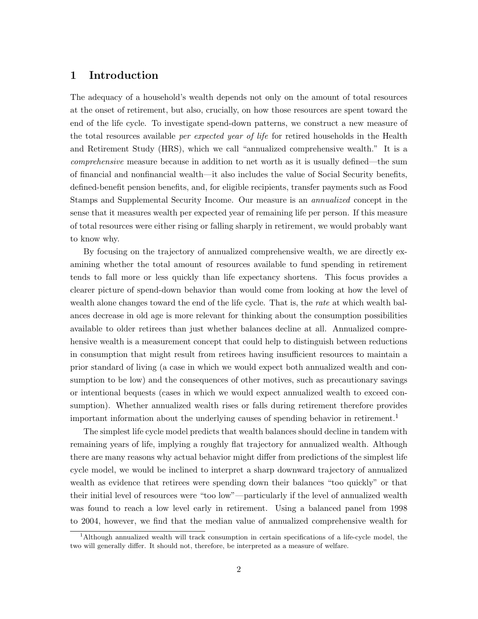## 1 Introduction

The adequacy of a household's wealth depends not only on the amount of total resources at the onset of retirement, but also, crucially, on how those resources are spent toward the end of the life cycle. To investigate spend-down patterns, we construct a new measure of the total resources available *per expected year of life* for retired households in the Health and Retirement Study (HRS), which we call "annualized comprehensive wealth." It is a comprehensive measure because in addition to net worth as it is usually defined—the sum of financial and nonfinancial wealth—it also includes the value of Social Security benefits, defined-benefit pension benefits, and, for eligible recipients, transfer payments such as Food Stamps and Supplemental Security Income. Our measure is an annualized concept in the sense that it measures wealth per expected year of remaining life per person. If this measure of total resources were either rising or falling sharply in retirement, we would probably want to know why.

By focusing on the trajectory of annualized comprehensive wealth, we are directly examining whether the total amount of resources available to fund spending in retirement tends to fall more or less quickly than life expectancy shortens. This focus provides a clearer picture of spend-down behavior than would come from looking at how the level of wealth alone changes toward the end of the life cycle. That is, the rate at which wealth balances decrease in old age is more relevant for thinking about the consumption possibilities available to older retirees than just whether balances decline at all. Annualized comprehensive wealth is a measurement concept that could help to distinguish between reductions in consumption that might result from retirees having insufficient resources to maintain a prior standard of living (a case in which we would expect both annualized wealth and consumption to be low) and the consequences of other motives, such as precautionary savings or intentional bequests (cases in which we would expect annualized wealth to exceed consumption). Whether annualized wealth rises or falls during retirement therefore provides important information about the underlying causes of spending behavior in retirement.<sup>1</sup>

The simplest life cycle model predicts that wealth balances should decline in tandem with remaining years of life, implying a roughly flat trajectory for annualized wealth. Although there are many reasons why actual behavior might differ from predictions of the simplest life cycle model, we would be inclined to interpret a sharp downward trajectory of annualized wealth as evidence that retirees were spending down their balances "too quickly" or that their initial level of resources were "too low"—particularly if the level of annualized wealth was found to reach a low level early in retirement. Using a balanced panel from 1998 to 2004, however, we find that the median value of annualized comprehensive wealth for

<sup>&</sup>lt;sup>1</sup>Although annualized wealth will track consumption in certain specifications of a life-cycle model, the two will generally differ. It should not, therefore, be interpreted as a measure of welfare.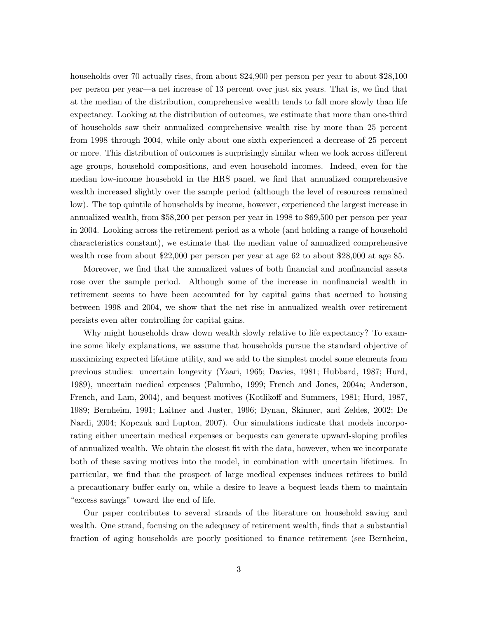households over 70 actually rises, from about \$24,900 per person per year to about \$28,100 per person per year—a net increase of 13 percent over just six years. That is, we find that at the median of the distribution, comprehensive wealth tends to fall more slowly than life expectancy. Looking at the distribution of outcomes, we estimate that more than one-third of households saw their annualized comprehensive wealth rise by more than 25 percent from 1998 through 2004, while only about one-sixth experienced a decrease of 25 percent or more. This distribution of outcomes is surprisingly similar when we look across different age groups, household compositions, and even household incomes. Indeed, even for the median low-income household in the HRS panel, we find that annualized comprehensive wealth increased slightly over the sample period (although the level of resources remained low). The top quintile of households by income, however, experienced the largest increase in annualized wealth, from \$58,200 per person per year in 1998 to \$69,500 per person per year in 2004. Looking across the retirement period as a whole (and holding a range of household characteristics constant), we estimate that the median value of annualized comprehensive wealth rose from about \$22,000 per person per year at age 62 to about \$28,000 at age 85.

Moreover, we find that the annualized values of both financial and nonfinancial assets rose over the sample period. Although some of the increase in nonfinancial wealth in retirement seems to have been accounted for by capital gains that accrued to housing between 1998 and 2004, we show that the net rise in annualized wealth over retirement persists even after controlling for capital gains.

Why might households draw down wealth slowly relative to life expectancy? To examine some likely explanations, we assume that households pursue the standard objective of maximizing expected lifetime utility, and we add to the simplest model some elements from previous studies: uncertain longevity (Yaari, 1965; Davies, 1981; Hubbard, 1987; Hurd, 1989), uncertain medical expenses (Palumbo, 1999; French and Jones, 2004a; Anderson, French, and Lam, 2004), and bequest motives (Kotlikoff and Summers, 1981; Hurd, 1987, 1989; Bernheim, 1991; Laitner and Juster, 1996; Dynan, Skinner, and Zeldes, 2002; De Nardi, 2004; Kopczuk and Lupton, 2007). Our simulations indicate that models incorporating either uncertain medical expenses or bequests can generate upward-sloping profiles of annualized wealth. We obtain the closest fit with the data, however, when we incorporate both of these saving motives into the model, in combination with uncertain lifetimes. In particular, we find that the prospect of large medical expenses induces retirees to build a precautionary buffer early on, while a desire to leave a bequest leads them to maintain "excess savings" toward the end of life.

Our paper contributes to several strands of the literature on household saving and wealth. One strand, focusing on the adequacy of retirement wealth, finds that a substantial fraction of aging households are poorly positioned to finance retirement (see Bernheim,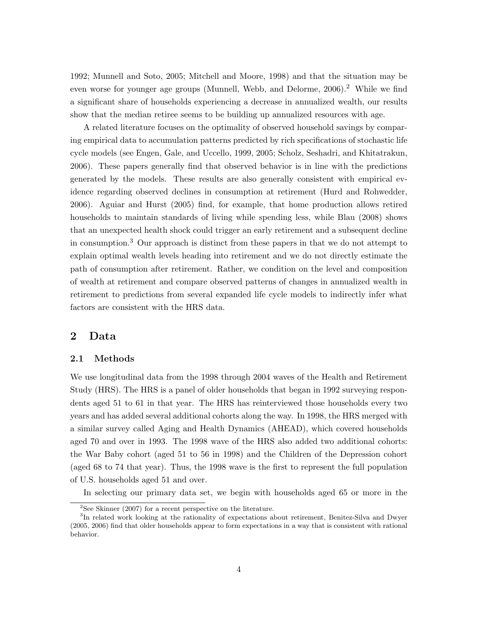1992; Munnell and Soto, 2005; Mitchell and Moore, 1998) and that the situation may be even worse for younger age groups (Munnell, Webb, and Delorme, 2006).<sup>2</sup> While we find a significant share of households experiencing a decrease in annualized wealth, our results show that the median retiree seems to be building up annualized resources with age.

A related literature focuses on the optimality of observed household savings by comparing empirical data to accumulation patterns predicted by rich specifications of stochastic life cycle models (see Engen, Gale, and Uccello, 1999, 2005; Scholz, Seshadri, and Khitatrakun, 2006). These papers generally find that observed behavior is in line with the predictions generated by the models. These results are also generally consistent with empirical evidence regarding observed declines in consumption at retirement (Hurd and Rohwedder, 2006). Aguiar and Hurst (2005) find, for example, that home production allows retired households to maintain standards of living while spending less, while Blau (2008) shows that an unexpected health shock could trigger an early retirement and a subsequent decline in consumption.<sup>3</sup> Our approach is distinct from these papers in that we do not attempt to explain optimal wealth levels heading into retirement and we do not directly estimate the path of consumption after retirement. Rather, we condition on the level and composition of wealth at retirement and compare observed patterns of changes in annualized wealth in retirement to predictions from several expanded life cycle models to indirectly infer what factors are consistent with the HRS data.

## 2 Data

#### 2.1 Methods

We use longitudinal data from the 1998 through 2004 waves of the Health and Retirement Study (HRS). The HRS is a panel of older households that began in 1992 surveying respondents aged 51 to 61 in that year. The HRS has reinterviewed those households every two years and has added several additional cohorts along the way. In 1998, the HRS merged with a similar survey called Aging and Health Dynamics (AHEAD), which covered households aged 70 and over in 1993. The 1998 wave of the HRS also added two additional cohorts: the War Baby cohort (aged 51 to 56 in 1998) and the Children of the Depression cohort (aged 68 to 74 that year). Thus, the 1998 wave is the first to represent the full population of U.S. households aged 51 and over.

In selecting our primary data set, we begin with households aged 65 or more in the

 $2$ See Skinner (2007) for a recent perspective on the literature.

<sup>&</sup>lt;sup>3</sup>In related work looking at the rationality of expectations about retirement, Benitez-Silva and Dwyer (2005, 2006) find that older households appear to form expectations in a way that is consistent with rational behavior.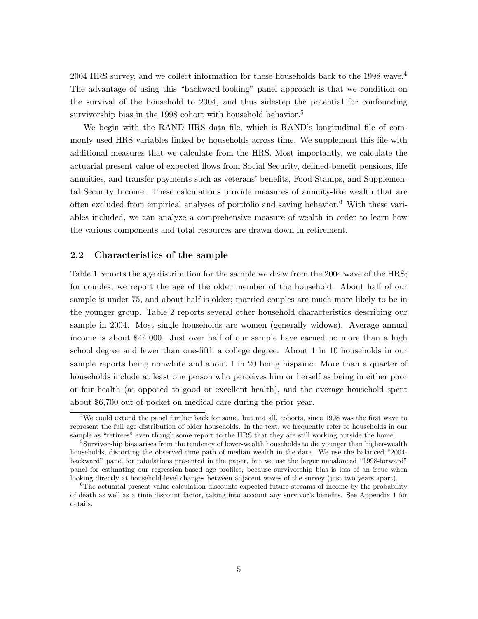2004 HRS survey, and we collect information for these households back to the 1998 wave.<sup>4</sup> The advantage of using this "backward-looking" panel approach is that we condition on the survival of the household to 2004, and thus sidestep the potential for confounding survivorship bias in the 1998 cohort with household behavior.<sup>5</sup>

We begin with the RAND HRS data file, which is RAND's longitudinal file of commonly used HRS variables linked by households across time. We supplement this file with additional measures that we calculate from the HRS. Most importantly, we calculate the actuarial present value of expected flows from Social Security, defined-benefit pensions, life annuities, and transfer payments such as veterans' benefits, Food Stamps, and Supplemental Security Income. These calculations provide measures of annuity-like wealth that are often excluded from empirical analyses of portfolio and saving behavior.<sup>6</sup> With these variables included, we can analyze a comprehensive measure of wealth in order to learn how the various components and total resources are drawn down in retirement.

#### 2.2 Characteristics of the sample

Table 1 reports the age distribution for the sample we draw from the 2004 wave of the HRS; for couples, we report the age of the older member of the household. About half of our sample is under 75, and about half is older; married couples are much more likely to be in the younger group. Table 2 reports several other household characteristics describing our sample in 2004. Most single households are women (generally widows). Average annual income is about \$44,000. Just over half of our sample have earned no more than a high school degree and fewer than one-fifth a college degree. About 1 in 10 households in our sample reports being nonwhite and about 1 in 20 being hispanic. More than a quarter of households include at least one person who perceives him or herself as being in either poor or fair health (as opposed to good or excellent health), and the average household spent about \$6,700 out-of-pocket on medical care during the prior year.

<sup>&</sup>lt;sup>4</sup>We could extend the panel further back for some, but not all, cohorts, since 1998 was the first wave to represent the full age distribution of older households. In the text, we frequently refer to households in our sample as "retirees" even though some report to the HRS that they are still working outside the home.

<sup>&</sup>lt;sup>5</sup>Survivorship bias arises from the tendency of lower-wealth households to die younger than higher-wealth households, distorting the observed time path of median wealth in the data. We use the balanced "2004 backward" panel for tabulations presented in the paper, but we use the larger unbalanced "1998-forward" panel for estimating our regression-based age profiles, because survivorship bias is less of an issue when looking directly at household-level changes between adjacent waves of the survey (just two years apart).

<sup>&</sup>lt;sup>6</sup>The actuarial present value calculation discounts expected future streams of income by the probability of death as well as a time discount factor, taking into account any survivor's benefits. See Appendix 1 for details.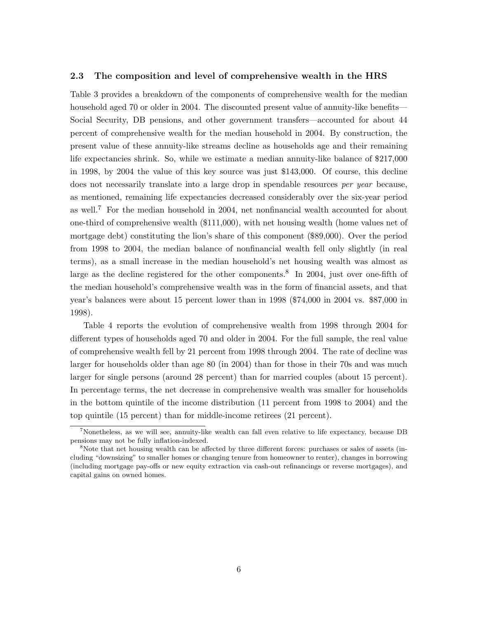#### 2.3 The composition and level of comprehensive wealth in the HRS

Table 3 provides a breakdown of the components of comprehensive wealth for the median household aged 70 or older in 2004. The discounted present value of annuity-like benefits— Social Security, DB pensions, and other government transfers—accounted for about 44 percent of comprehensive wealth for the median household in 2004. By construction, the present value of these annuity-like streams decline as households age and their remaining life expectancies shrink. So, while we estimate a median annuity-like balance of \$217,000 in 1998, by 2004 the value of this key source was just \$143,000. Of course, this decline does not necessarily translate into a large drop in spendable resources per year because, as mentioned, remaining life expectancies decreased considerably over the six-year period as well.<sup>7</sup> For the median household in 2004, net nonfinancial wealth accounted for about one-third of comprehensive wealth (\$111,000), with net housing wealth (home values net of mortgage debt) constituting the lion's share of this component (\$89,000). Over the period from 1998 to 2004, the median balance of nonfinancial wealth fell only slightly (in real terms), as a small increase in the median household's net housing wealth was almost as large as the decline registered for the other components.<sup>8</sup> In 2004, just over one-fifth of the median household's comprehensive wealth was in the form of financial assets, and that year's balances were about 15 percent lower than in 1998 (\$74,000 in 2004 vs. \$87,000 in 1998).

Table 4 reports the evolution of comprehensive wealth from 1998 through 2004 for different types of households aged 70 and older in 2004. For the full sample, the real value of comprehensive wealth fell by 21 percent from 1998 through 2004. The rate of decline was larger for households older than age 80 (in 2004) than for those in their 70s and was much larger for single persons (around 28 percent) than for married couples (about 15 percent). In percentage terms, the net decrease in comprehensive wealth was smaller for households in the bottom quintile of the income distribution (11 percent from 1998 to 2004) and the top quintile (15 percent) than for middle-income retirees (21 percent).

<sup>7</sup>Nonetheless, as we will see, annuity-like wealth can fall even relative to life expectancy, because DB pensions may not be fully inflation-indexed.

<sup>&</sup>lt;sup>8</sup>Note that net housing wealth can be affected by three different forces: purchases or sales of assets (including "downsizing" to smaller homes or changing tenure from homeowner to renter), changes in borrowing (including mortgage pay-offs or new equity extraction via cash-out refinancings or reverse mortgages), and capital gains on owned homes.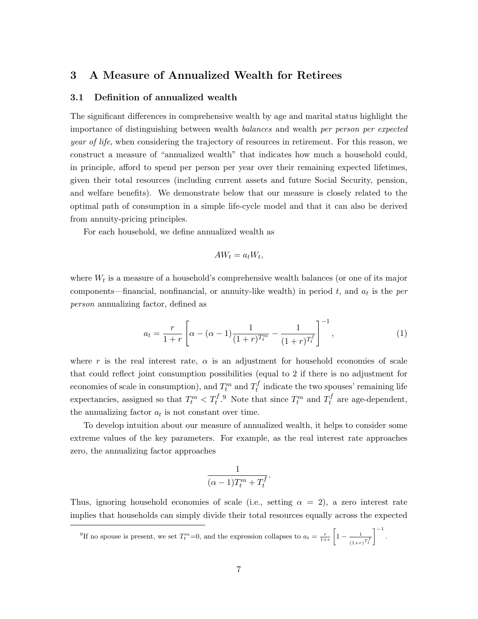## 3 A Measure of Annualized Wealth for Retirees

#### 3.1 Definition of annualized wealth

The significant differences in comprehensive wealth by age and marital status highlight the importance of distinguishing between wealth balances and wealth per person per expected *year of life*, when considering the trajectory of resources in retirement. For this reason, we construct a measure of "annualized wealth" that indicates how much a household could, in principle, afford to spend per person per year over their remaining expected lifetimes, given their total resources (including current assets and future Social Security, pension, and welfare benefits). We demonstrate below that our measure is closely related to the optimal path of consumption in a simple life-cycle model and that it can also be derived from annuity-pricing principles.

For each household, we define annualized wealth as

$$
AW_t = a_t W_t,
$$

where  $W_t$  is a measure of a household's comprehensive wealth balances (or one of its major components—financial, nonfinancial, or annuity-like wealth) in period  $t$ , and  $a_t$  is the per person annualizing factor, defined as

$$
a_t = \frac{r}{1+r} \left[ \alpha - (\alpha - 1) \frac{1}{(1+r)^{T_t^m}} - \frac{1}{(1+r)^{T_t^f}} \right]^{-1}, \tag{1}
$$

where r is the real interest rate,  $\alpha$  is an adjustment for household economies of scale that could reflect joint consumption possibilities (equal to 2 if there is no adjustment for economies of scale in consumption), and  $T_t^m$  and  $T_t^f$  $t_t^{\prime}$  indicate the two spouses' remaining life expectancies, assigned so that  $T_t^m < T_t^f$ .<sup>9</sup> Note that since  $T_t^m$  and  $T_t^f$  $t_t^J$  are age-dependent, the annualizing factor  $a_t$  is not constant over time.

To develop intuition about our measure of annualized wealth, it helps to consider some extreme values of the key parameters. For example, as the real interest rate approaches zero, the annualizing factor approaches

$$
\frac{1}{(\alpha -1)T_t^m + T_t^f}.
$$

Thus, ignoring household economies of scale (i.e., setting  $\alpha = 2$ ), a zero interest rate implies that households can simply divide their total resources equally across the expected

<sup>9</sup>If no spouse is present, we set  $T_t^m=0$ , and the expression collapses to  $a_t = \frac{r}{1+r}$  $\left[1-\frac{1}{\cdots}\right]$  $\frac{(1+r)^{T_t^f}}{T_t^f}$  $\big]^{-1}$  .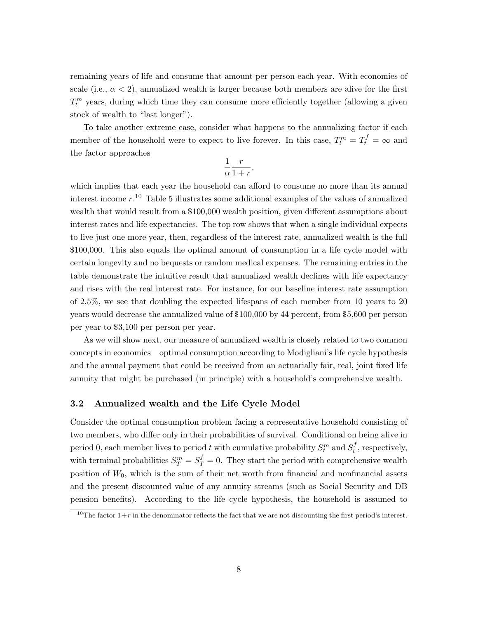remaining years of life and consume that amount per person each year. With economies of scale (i.e.,  $\alpha$  < 2), annualized wealth is larger because both members are alive for the first  $T_t^m$  years, during which time they can consume more efficiently together (allowing a given stock of wealth to "last longer").

To take another extreme case, consider what happens to the annualizing factor if each member of the household were to expect to live forever. In this case,  $T_t^m = T_t^f = \infty$  and the factor approaches

$$
\frac{1}{\alpha} \frac{r}{1+r},
$$

which implies that each year the household can afford to consume no more than its annual interest income  $r^{10}$  Table 5 illustrates some additional examples of the values of annualized wealth that would result from a \$100,000 wealth position, given different assumptions about interest rates and life expectancies. The top row shows that when a single individual expects to live just one more year, then, regardless of the interest rate, annualized wealth is the full \$100,000. This also equals the optimal amount of consumption in a life cycle model with certain longevity and no bequests or random medical expenses. The remaining entries in the table demonstrate the intuitive result that annualized wealth declines with life expectancy and rises with the real interest rate. For instance, for our baseline interest rate assumption of 2.5%, we see that doubling the expected lifespans of each member from 10 years to 20 years would decrease the annualized value of \$100,000 by 44 percent, from \$5,600 per person per year to \$3,100 per person per year.

As we will show next, our measure of annualized wealth is closely related to two common concepts in economics—optimal consumption according to Modigliani's life cycle hypothesis and the annual payment that could be received from an actuarially fair, real, joint fixed life annuity that might be purchased (in principle) with a household's comprehensive wealth.

### 3.2 Annualized wealth and the Life Cycle Model

Consider the optimal consumption problem facing a representative household consisting of two members, who differ only in their probabilities of survival. Conditional on being alive in period 0, each member lives to period  $t$  with cumulative probability  $S_t^m$  and  $S_t^f$  $t<sub>t</sub>$ , respectively, with terminal probabilities  $S_T^m = S_T^f = 0$ . They start the period with comprehensive wealth position of  $W_0$ , which is the sum of their net worth from financial and nonfinancial assets and the present discounted value of any annuity streams (such as Social Security and DB pension benefits). According to the life cycle hypothesis, the household is assumed to

<sup>&</sup>lt;sup>10</sup>The factor  $1+r$  in the denominator reflects the fact that we are not discounting the first period's interest.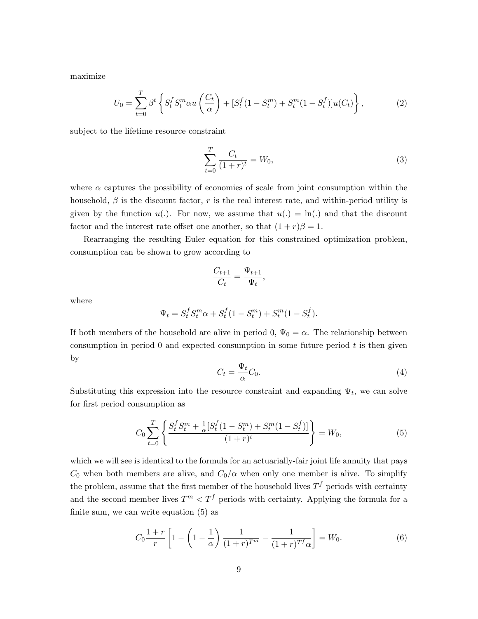maximize

$$
U_0 = \sum_{t=0}^{T} \beta^t \left\{ S_t^f S_t^m \alpha u \left( \frac{C_t}{\alpha} \right) + \left[ S_t^f (1 - S_t^m) + S_t^m (1 - S_t^f) \right] u(C_t) \right\},\tag{2}
$$

subject to the lifetime resource constraint

$$
\sum_{t=0}^{T} \frac{C_t}{(1+r)^t} = W_0,
$$
\n(3)

where  $\alpha$  captures the possibility of economies of scale from joint consumption within the household,  $\beta$  is the discount factor, r is the real interest rate, and within-period utility is given by the function  $u(.)$ . For now, we assume that  $u(.) = \ln(.)$  and that the discount factor and the interest rate offset one another, so that  $(1 + r)\beta = 1$ .

Rearranging the resulting Euler equation for this constrained optimization problem, consumption can be shown to grow according to

$$
\frac{C_{t+1}}{C_t} = \frac{\Psi_{t+1}}{\Psi_t},
$$

where

$$
\Psi_t = S_t^f S_t^m \alpha + S_t^f (1 - S_t^m) + S_t^m (1 - S_t^f).
$$

If both members of the household are alive in period 0,  $\Psi_0 = \alpha$ . The relationship between consumption in period  $\theta$  and expected consumption in some future period  $t$  is then given by

$$
C_t = \frac{\Psi_t}{\alpha} C_0. \tag{4}
$$

Substituting this expression into the resource constraint and expanding  $\Psi_t$ , we can solve for first period consumption as

$$
C_0 \sum_{t=0}^{T} \left\{ \frac{S_t^f S_t^m + \frac{1}{\alpha} [S_t^f (1 - S_t^m) + S_t^m (1 - S_t^f)]}{(1 + r)^t} \right\} = W_0,
$$
\n<sup>(5)</sup>

which we will see is identical to the formula for an actuarially-fair joint life annuity that pays  $C_0$  when both members are alive, and  $C_0/\alpha$  when only one member is alive. To simplify the problem, assume that the first member of the household lives  $T<sup>f</sup>$  periods with certainty and the second member lives  $T^m < T^f$  periods with certainty. Applying the formula for a finite sum, we can write equation (5) as

$$
C_0 \frac{1+r}{r} \left[ 1 - \left( 1 - \frac{1}{\alpha} \right) \frac{1}{(1+r)^{T^m}} - \frac{1}{(1+r)^{T^f} \alpha} \right] = W_0.
$$
 (6)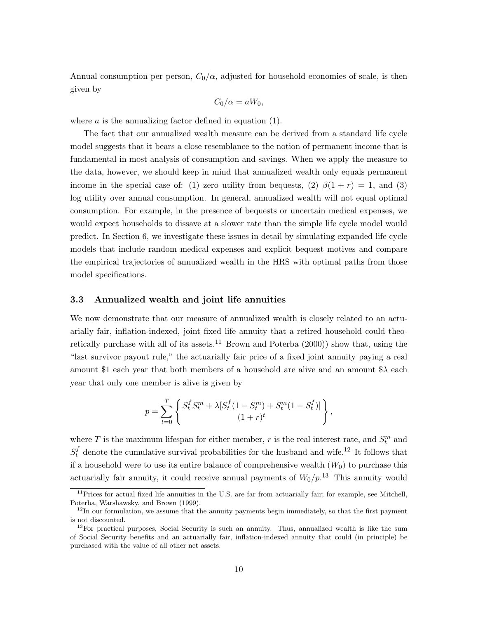Annual consumption per person,  $C_0/\alpha$ , adjusted for household economies of scale, is then given by

$$
C_0/\alpha = aW_0,
$$

where  $\alpha$  is the annualizing factor defined in equation (1).

The fact that our annualized wealth measure can be derived from a standard life cycle model suggests that it bears a close resemblance to the notion of permanent income that is fundamental in most analysis of consumption and savings. When we apply the measure to the data, however, we should keep in mind that annualized wealth only equals permanent income in the special case of: (1) zero utility from bequests, (2)  $\beta(1 + r) = 1$ , and (3) log utility over annual consumption. In general, annualized wealth will not equal optimal consumption. For example, in the presence of bequests or uncertain medical expenses, we would expect households to dissave at a slower rate than the simple life cycle model would predict. In Section 6, we investigate these issues in detail by simulating expanded life cycle models that include random medical expenses and explicit bequest motives and compare the empirical trajectories of annualized wealth in the HRS with optimal paths from those model specifications.

### 3.3 Annualized wealth and joint life annuities

We now demonstrate that our measure of annualized wealth is closely related to an actuarially fair, inflation-indexed, joint fixed life annuity that a retired household could theoretically purchase with all of its assets.<sup>11</sup> Brown and Poterba  $(2000)$ ) show that, using the "last survivor payout rule," the actuarially fair price of a fixed joint annuity paying a real amount \$1 each year that both members of a household are alive and an amount  $\lambda$  each year that only one member is alive is given by

$$
p = \sum_{t=0}^{T} \left\{ \frac{S_t^f S_t^m + \lambda [S_t^f (1 - S_t^m) + S_t^m (1 - S_t^f)]}{(1 + r)^t} \right\},\,
$$

where T is the maximum lifespan for either member, r is the real interest rate, and  $S_t^m$  and  $S_t^f$  denote the cumulative survival probabilities for the husband and wife.<sup>12</sup> It follows that if a household were to use its entire balance of comprehensive wealth  $(W_0)$  to purchase this actuarially fair annuity, it could receive annual payments of  $W_0/p$ <sup>13</sup>. This annuity would

<sup>&</sup>lt;sup>11</sup>Prices for actual fixed life annuities in the U.S. are far from actuarially fair; for example, see Mitchell, Poterba, Warshawsky, and Brown (1999).

 $12$ In our formulation, we assume that the annuity payments begin immediately, so that the first payment is not discounted.

<sup>&</sup>lt;sup>13</sup>For practical purposes, Social Security is such an annuity. Thus, annualized wealth is like the sum of Social Security benefits and an actuarially fair, inflation-indexed annuity that could (in principle) be purchased with the value of all other net assets.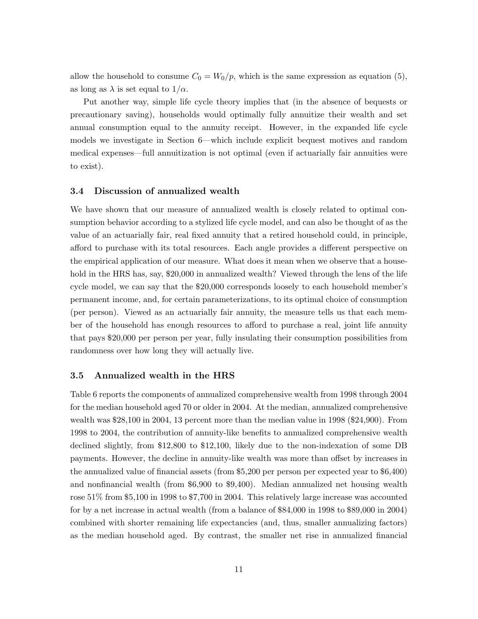allow the household to consume  $C_0 = W_0/p$ , which is the same expression as equation (5), as long as  $\lambda$  is set equal to  $1/\alpha$ .

Put another way, simple life cycle theory implies that (in the absence of bequests or precautionary saving), households would optimally fully annuitize their wealth and set annual consumption equal to the annuity receipt. However, in the expanded life cycle models we investigate in Section 6—which include explicit bequest motives and random medical expenses—full annuitization is not optimal (even if actuarially fair annuities were to exist).

#### 3.4 Discussion of annualized wealth

We have shown that our measure of annualized wealth is closely related to optimal consumption behavior according to a stylized life cycle model, and can also be thought of as the value of an actuarially fair, real fixed annuity that a retired household could, in principle, afford to purchase with its total resources. Each angle provides a different perspective on the empirical application of our measure. What does it mean when we observe that a household in the HRS has, say, \$20,000 in annualized wealth? Viewed through the lens of the life cycle model, we can say that the \$20,000 corresponds loosely to each household member's permanent income, and, for certain parameterizations, to its optimal choice of consumption (per person). Viewed as an actuarially fair annuity, the measure tells us that each member of the household has enough resources to afford to purchase a real, joint life annuity that pays \$20,000 per person per year, fully insulating their consumption possibilities from randomness over how long they will actually live.

### 3.5 Annualized wealth in the HRS

Table 6 reports the components of annualized comprehensive wealth from 1998 through 2004 for the median household aged 70 or older in 2004. At the median, annualized comprehensive wealth was \$28,100 in 2004, 13 percent more than the median value in 1998 (\$24,900). From 1998 to 2004, the contribution of annuity-like benefits to annualized comprehensive wealth declined slightly, from \$12,800 to \$12,100, likely due to the non-indexation of some DB payments. However, the decline in annuity-like wealth was more than offset by increases in the annualized value of financial assets (from \$5,200 per person per expected year to \$6,400) and nonfinancial wealth (from \$6,900 to \$9,400). Median annualized net housing wealth rose 51% from \$5,100 in 1998 to \$7,700 in 2004. This relatively large increase was accounted for by a net increase in actual wealth (from a balance of \$84,000 in 1998 to \$89,000 in 2004) combined with shorter remaining life expectancies (and, thus, smaller annualizing factors) as the median household aged. By contrast, the smaller net rise in annualized financial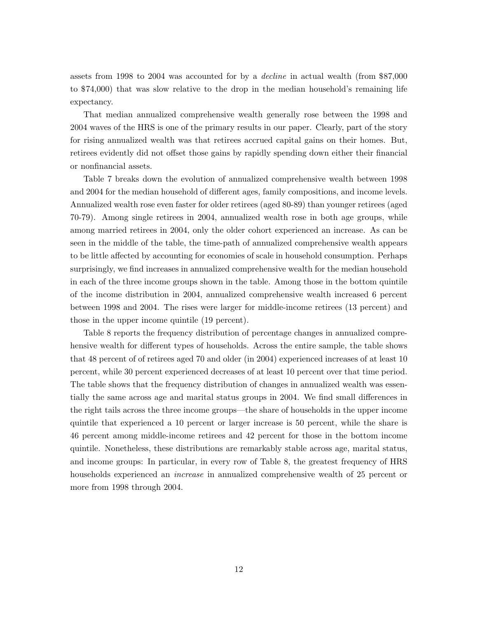assets from 1998 to 2004 was accounted for by a decline in actual wealth (from \$87,000 to \$74,000) that was slow relative to the drop in the median household's remaining life expectancy.

That median annualized comprehensive wealth generally rose between the 1998 and 2004 waves of the HRS is one of the primary results in our paper. Clearly, part of the story for rising annualized wealth was that retirees accrued capital gains on their homes. But, retirees evidently did not offset those gains by rapidly spending down either their financial or nonfinancial assets.

Table 7 breaks down the evolution of annualized comprehensive wealth between 1998 and 2004 for the median household of different ages, family compositions, and income levels. Annualized wealth rose even faster for older retirees (aged 80-89) than younger retirees (aged 70-79). Among single retirees in 2004, annualized wealth rose in both age groups, while among married retirees in 2004, only the older cohort experienced an increase. As can be seen in the middle of the table, the time-path of annualized comprehensive wealth appears to be little affected by accounting for economies of scale in household consumption. Perhaps surprisingly, we find increases in annualized comprehensive wealth for the median household in each of the three income groups shown in the table. Among those in the bottom quintile of the income distribution in 2004, annualized comprehensive wealth increased 6 percent between 1998 and 2004. The rises were larger for middle-income retirees (13 percent) and those in the upper income quintile (19 percent).

Table 8 reports the frequency distribution of percentage changes in annualized comprehensive wealth for different types of households. Across the entire sample, the table shows that 48 percent of of retirees aged 70 and older (in 2004) experienced increases of at least 10 percent, while 30 percent experienced decreases of at least 10 percent over that time period. The table shows that the frequency distribution of changes in annualized wealth was essentially the same across age and marital status groups in 2004. We find small differences in the right tails across the three income groups—the share of households in the upper income quintile that experienced a 10 percent or larger increase is 50 percent, while the share is 46 percent among middle-income retirees and 42 percent for those in the bottom income quintile. Nonetheless, these distributions are remarkably stable across age, marital status, and income groups: In particular, in every row of Table 8, the greatest frequency of HRS households experienced an *increase* in annualized comprehensive wealth of 25 percent or more from 1998 through 2004.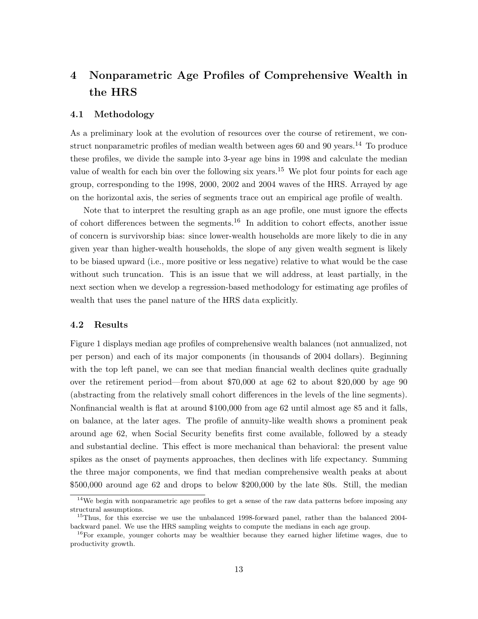# 4 Nonparametric Age Profiles of Comprehensive Wealth in the HRS

### 4.1 Methodology

As a preliminary look at the evolution of resources over the course of retirement, we construct nonparametric profiles of median wealth between ages 60 and 90 years.<sup>14</sup> To produce these profiles, we divide the sample into 3-year age bins in 1998 and calculate the median value of wealth for each bin over the following six years.<sup>15</sup> We plot four points for each age group, corresponding to the 1998, 2000, 2002 and 2004 waves of the HRS. Arrayed by age on the horizontal axis, the series of segments trace out an empirical age profile of wealth.

Note that to interpret the resulting graph as an age profile, one must ignore the effects of cohort differences between the segments.<sup>16</sup> In addition to cohort effects, another issue of concern is survivorship bias: since lower-wealth households are more likely to die in any given year than higher-wealth households, the slope of any given wealth segment is likely to be biased upward (i.e., more positive or less negative) relative to what would be the case without such truncation. This is an issue that we will address, at least partially, in the next section when we develop a regression-based methodology for estimating age profiles of wealth that uses the panel nature of the HRS data explicitly.

#### 4.2 Results

Figure 1 displays median age profiles of comprehensive wealth balances (not annualized, not per person) and each of its major components (in thousands of 2004 dollars). Beginning with the top left panel, we can see that median financial wealth declines quite gradually over the retirement period—from about \$70,000 at age 62 to about \$20,000 by age 90 (abstracting from the relatively small cohort differences in the levels of the line segments). Nonfinancial wealth is flat at around \$100,000 from age 62 until almost age 85 and it falls, on balance, at the later ages. The profile of annuity-like wealth shows a prominent peak around age 62, when Social Security benefits first come available, followed by a steady and substantial decline. This effect is more mechanical than behavioral: the present value spikes as the onset of payments approaches, then declines with life expectancy. Summing the three major components, we find that median comprehensive wealth peaks at about \$500,000 around age 62 and drops to below \$200,000 by the late 80s. Still, the median

 $14$ We begin with nonparametric age profiles to get a sense of the raw data patterns before imposing any structural assumptions.

<sup>&</sup>lt;sup>15</sup>Thus, for this exercise we use the unbalanced 1998-forward panel, rather than the balanced 2004backward panel. We use the HRS sampling weights to compute the medians in each age group.

<sup>&</sup>lt;sup>16</sup>For example, younger cohorts may be wealthier because they earned higher lifetime wages, due to productivity growth.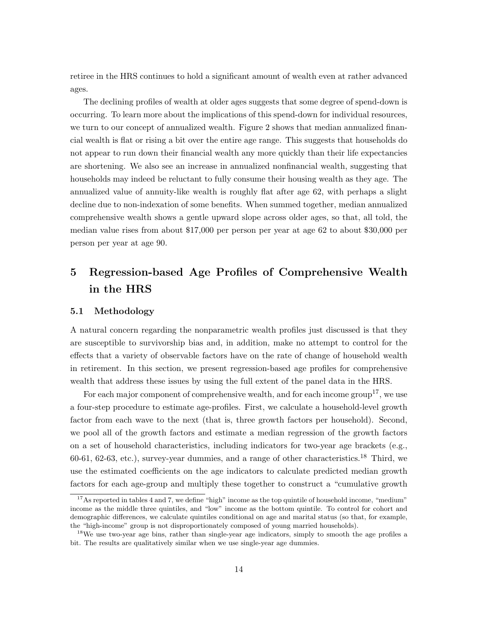retiree in the HRS continues to hold a significant amount of wealth even at rather advanced ages.

The declining profiles of wealth at older ages suggests that some degree of spend-down is occurring. To learn more about the implications of this spend-down for individual resources, we turn to our concept of annualized wealth. Figure 2 shows that median annualized financial wealth is flat or rising a bit over the entire age range. This suggests that households do not appear to run down their financial wealth any more quickly than their life expectancies are shortening. We also see an increase in annualized nonfinancial wealth, suggesting that households may indeed be reluctant to fully consume their housing wealth as they age. The annualized value of annuity-like wealth is roughly flat after age 62, with perhaps a slight decline due to non-indexation of some benefits. When summed together, median annualized comprehensive wealth shows a gentle upward slope across older ages, so that, all told, the median value rises from about \$17,000 per person per year at age 62 to about \$30,000 per person per year at age 90.

# 5 Regression-based Age Profiles of Comprehensive Wealth in the HRS

### 5.1 Methodology

A natural concern regarding the nonparametric wealth profiles just discussed is that they are susceptible to survivorship bias and, in addition, make no attempt to control for the effects that a variety of observable factors have on the rate of change of household wealth in retirement. In this section, we present regression-based age profiles for comprehensive wealth that address these issues by using the full extent of the panel data in the HRS.

For each major component of comprehensive wealth, and for each income group<sup>17</sup>, we use a four-step procedure to estimate age-profiles. First, we calculate a household-level growth factor from each wave to the next (that is, three growth factors per household). Second, we pool all of the growth factors and estimate a median regression of the growth factors on a set of household characteristics, including indicators for two-year age brackets (e.g., 60-61, 62-63, etc.), survey-year dummies, and a range of other characteristics.<sup>18</sup> Third, we use the estimated coefficients on the age indicators to calculate predicted median growth factors for each age-group and multiply these together to construct a "cumulative growth

 $17\text{As reported in tables 4 and 7, we define "high" income as the top quintile of household income, "medium"$ income as the middle three quintiles, and "low" income as the bottom quintile. To control for cohort and demographic differences, we calculate quintiles conditional on age and marital status (so that, for example, the "high-income" group is not disproportionately composed of young married households).

<sup>&</sup>lt;sup>18</sup>We use two-year age bins, rather than single-year age indicators, simply to smooth the age profiles a bit. The results are qualitatively similar when we use single-year age dummies.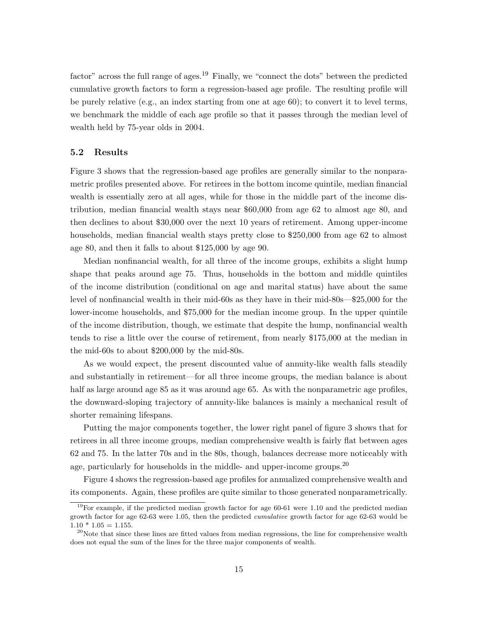factor" across the full range of ages.<sup>19</sup> Finally, we "connect the dots" between the predicted cumulative growth factors to form a regression-based age profile. The resulting profile will be purely relative (e.g., an index starting from one at age 60); to convert it to level terms, we benchmark the middle of each age profile so that it passes through the median level of wealth held by 75-year olds in 2004.

### 5.2 Results

Figure 3 shows that the regression-based age profiles are generally similar to the nonparametric profiles presented above. For retirees in the bottom income quintile, median financial wealth is essentially zero at all ages, while for those in the middle part of the income distribution, median financial wealth stays near \$60,000 from age 62 to almost age 80, and then declines to about \$30,000 over the next 10 years of retirement. Among upper-income households, median financial wealth stays pretty close to \$250,000 from age 62 to almost age 80, and then it falls to about \$125,000 by age 90.

Median nonfinancial wealth, for all three of the income groups, exhibits a slight hump shape that peaks around age 75. Thus, households in the bottom and middle quintiles of the income distribution (conditional on age and marital status) have about the same level of nonfinancial wealth in their mid-60s as they have in their mid-80s—\$25,000 for the lower-income households, and \$75,000 for the median income group. In the upper quintile of the income distribution, though, we estimate that despite the hump, nonfinancial wealth tends to rise a little over the course of retirement, from nearly \$175,000 at the median in the mid-60s to about \$200,000 by the mid-80s.

As we would expect, the present discounted value of annuity-like wealth falls steadily and substantially in retirement—for all three income groups, the median balance is about half as large around age 85 as it was around age 65. As with the nonparametric age profiles, the downward-sloping trajectory of annuity-like balances is mainly a mechanical result of shorter remaining lifespans.

Putting the major components together, the lower right panel of figure 3 shows that for retirees in all three income groups, median comprehensive wealth is fairly flat between ages 62 and 75. In the latter 70s and in the 80s, though, balances decrease more noticeably with age, particularly for households in the middle- and upper-income groups.<sup>20</sup>

Figure 4 shows the regression-based age profiles for annualized comprehensive wealth and its components. Again, these profiles are quite similar to those generated nonparametrically.

<sup>&</sup>lt;sup>19</sup>For example, if the predicted median growth factor for age  $60-61$  were 1.10 and the predicted median growth factor for age 62-63 were 1.05, then the predicted cumulative growth factor for age 62-63 would be  $1.10 * 1.05 = 1.155.$ 

 $^{20}$ Note that since these lines are fitted values from median regressions, the line for comprehensive wealth does not equal the sum of the lines for the three major components of wealth.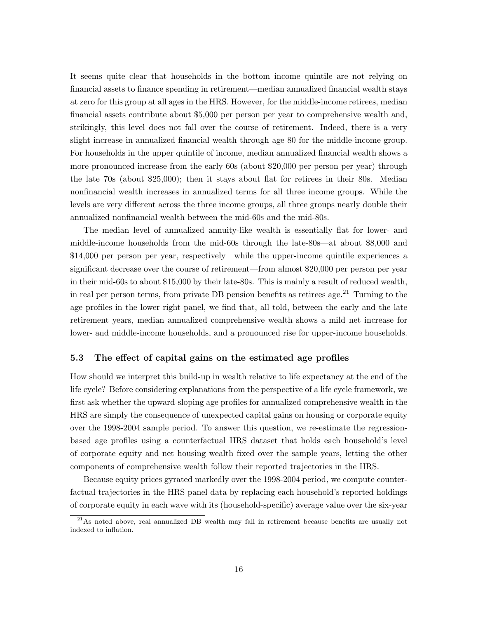It seems quite clear that households in the bottom income quintile are not relying on financial assets to finance spending in retirement—median annualized financial wealth stays at zero for this group at all ages in the HRS. However, for the middle-income retirees, median financial assets contribute about \$5,000 per person per year to comprehensive wealth and, strikingly, this level does not fall over the course of retirement. Indeed, there is a very slight increase in annualized financial wealth through age 80 for the middle-income group. For households in the upper quintile of income, median annualized financial wealth shows a more pronounced increase from the early 60s (about \$20,000 per person per year) through the late 70s (about \$25,000); then it stays about flat for retirees in their 80s. Median nonfinancial wealth increases in annualized terms for all three income groups. While the levels are very different across the three income groups, all three groups nearly double their annualized nonfinancial wealth between the mid-60s and the mid-80s.

The median level of annualized annuity-like wealth is essentially flat for lower- and middle-income households from the mid-60s through the late-80s—at about \$8,000 and \$14,000 per person per year, respectively—while the upper-income quintile experiences a significant decrease over the course of retirement—from almost \$20,000 per person per year in their mid-60s to about \$15,000 by their late-80s. This is mainly a result of reduced wealth, in real per person terms, from private DB pension benefits as retirees age.<sup>21</sup> Turning to the age profiles in the lower right panel, we find that, all told, between the early and the late retirement years, median annualized comprehensive wealth shows a mild net increase for lower- and middle-income households, and a pronounced rise for upper-income households.

### 5.3 The effect of capital gains on the estimated age profiles

How should we interpret this build-up in wealth relative to life expectancy at the end of the life cycle? Before considering explanations from the perspective of a life cycle framework, we first ask whether the upward-sloping age profiles for annualized comprehensive wealth in the HRS are simply the consequence of unexpected capital gains on housing or corporate equity over the 1998-2004 sample period. To answer this question, we re-estimate the regressionbased age profiles using a counterfactual HRS dataset that holds each household's level of corporate equity and net housing wealth fixed over the sample years, letting the other components of comprehensive wealth follow their reported trajectories in the HRS.

Because equity prices gyrated markedly over the 1998-2004 period, we compute counterfactual trajectories in the HRS panel data by replacing each household's reported holdings of corporate equity in each wave with its (household-specific) average value over the six-year

<sup>&</sup>lt;sup>21</sup>As noted above, real annualized DB wealth may fall in retirement because benefits are usually not indexed to inflation.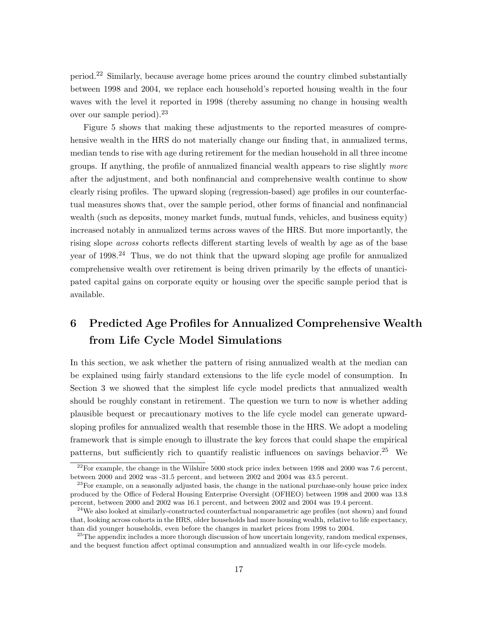period.<sup>22</sup> Similarly, because average home prices around the country climbed substantially between 1998 and 2004, we replace each household's reported housing wealth in the four waves with the level it reported in 1998 (thereby assuming no change in housing wealth over our sample period).<sup>23</sup>

Figure 5 shows that making these adjustments to the reported measures of comprehensive wealth in the HRS do not materially change our finding that, in annualized terms, median tends to rise with age during retirement for the median household in all three income groups. If anything, the profile of annualized financial wealth appears to rise slightly more after the adjustment, and both nonfinancial and comprehensive wealth continue to show clearly rising profiles. The upward sloping (regression-based) age profiles in our counterfactual measures shows that, over the sample period, other forms of financial and nonfinancial wealth (such as deposits, money market funds, mutual funds, vehicles, and business equity) increased notably in annualized terms across waves of the HRS. But more importantly, the rising slope *across* cohorts reflects different starting levels of wealth by age as of the base year of  $1998<sup>24</sup>$  Thus, we do not think that the upward sloping age profile for annualized comprehensive wealth over retirement is being driven primarily by the effects of unanticipated capital gains on corporate equity or housing over the specific sample period that is available.

# 6 Predicted Age Profiles for Annualized Comprehensive Wealth from Life Cycle Model Simulations

In this section, we ask whether the pattern of rising annualized wealth at the median can be explained using fairly standard extensions to the life cycle model of consumption. In Section 3 we showed that the simplest life cycle model predicts that annualized wealth should be roughly constant in retirement. The question we turn to now is whether adding plausible bequest or precautionary motives to the life cycle model can generate upwardsloping profiles for annualized wealth that resemble those in the HRS. We adopt a modeling framework that is simple enough to illustrate the key forces that could shape the empirical patterns, but sufficiently rich to quantify realistic influences on savings behavior.<sup>25</sup> We

 $^{22}$ For example, the change in the Wilshire 5000 stock price index between 1998 and 2000 was 7.6 percent, between 2000 and 2002 was -31.5 percent, and between 2002 and 2004 was 43.5 percent.

 $23$ For example, on a seasonally adjusted basis, the change in the national purchase-only house price index produced by the Office of Federal Housing Enterprise Oversight (OFHEO) between 1998 and 2000 was 13.8 percent, between 2000 and 2002 was 16.1 percent, and between 2002 and 2004 was 19.4 percent.

<sup>&</sup>lt;sup>24</sup>We also looked at similarly-constructed counterfactual nonparametric age profiles (not shown) and found that, looking across cohorts in the HRS, older households had more housing wealth, relative to life expectancy, than did younger households, even before the changes in market prices from 1998 to 2004.

<sup>&</sup>lt;sup>25</sup>The appendix includes a more thorough discussion of how uncertain longevity, random medical expenses, and the bequest function affect optimal consumption and annualized wealth in our life-cycle models.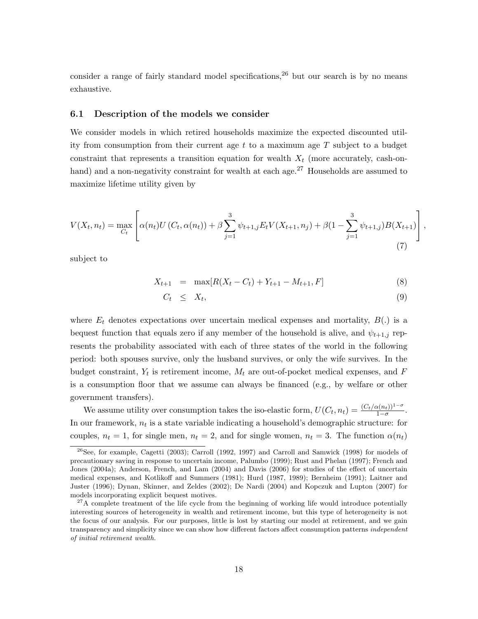consider a range of fairly standard model specifications, $26$  but our search is by no means exhaustive.

### 6.1 Description of the models we consider

We consider models in which retired households maximize the expected discounted utility from consumption from their current age  $t$  to a maximum age  $T$  subject to a budget constraint that represents a transition equation for wealth  $X_t$  (more accurately, cash-onhand) and a non-negativity constraint for wealth at each age. $27$  Households are assumed to maximize lifetime utility given by

$$
V(X_t, n_t) = \max_{C_t} \left[ \alpha(n_t) U(C_t, \alpha(n_t)) + \beta \sum_{j=1}^3 \psi_{t+1,j} E_t V(X_{t+1}, n_j) + \beta (1 - \sum_{j=1}^3 \psi_{t+1,j}) B(X_{t+1}) \right],
$$
\n(7)

subject to

$$
X_{t+1} = \max[R(X_t - C_t) + Y_{t+1} - M_{t+1}, F] \tag{8}
$$

$$
C_t \leq X_t, \tag{9}
$$

where  $E_t$  denotes expectations over uncertain medical expenses and mortality,  $B(.)$  is a bequest function that equals zero if any member of the household is alive, and  $\psi_{t+1,j}$  represents the probability associated with each of three states of the world in the following period: both spouses survive, only the husband survives, or only the wife survives. In the budget constraint,  $Y_t$  is retirement income,  $M_t$  are out-of-pocket medical expenses, and F is a consumption floor that we assume can always be financed (e.g., by welfare or other government transfers).

We assume utility over consumption takes the iso-elastic form,  $U(C_t, n_t) = \frac{(C_t/\alpha(n_t))^{1-\sigma}}{1-\sigma}$ . In our framework,  $n_t$  is a state variable indicating a household's demographic structure: for couples,  $n_t = 1$ , for single men,  $n_t = 2$ , and for single women,  $n_t = 3$ . The function  $\alpha(n_t)$ 

 $26$ See, for example, Cagetti (2003); Carroll (1992, 1997) and Carroll and Samwick (1998) for models of precautionary saving in response to uncertain income, Palumbo (1999); Rust and Phelan (1997); French and Jones (2004a); Anderson, French, and Lam (2004) and Davis (2006) for studies of the effect of uncertain medical expenses, and Kotlikoff and Summers (1981); Hurd (1987, 1989); Bernheim (1991); Laitner and Juster (1996); Dynan, Skinner, and Zeldes (2002); De Nardi (2004) and Kopczuk and Lupton (2007) for models incorporating explicit bequest motives.

<sup>&</sup>lt;sup>27</sup>A complete treatment of the life cycle from the beginning of working life would introduce potentially interesting sources of heterogeneity in wealth and retirement income, but this type of heterogeneity is not the focus of our analysis. For our purposes, little is lost by starting our model at retirement, and we gain transparency and simplicity since we can show how different factors affect consumption patterns independent of initial retirement wealth.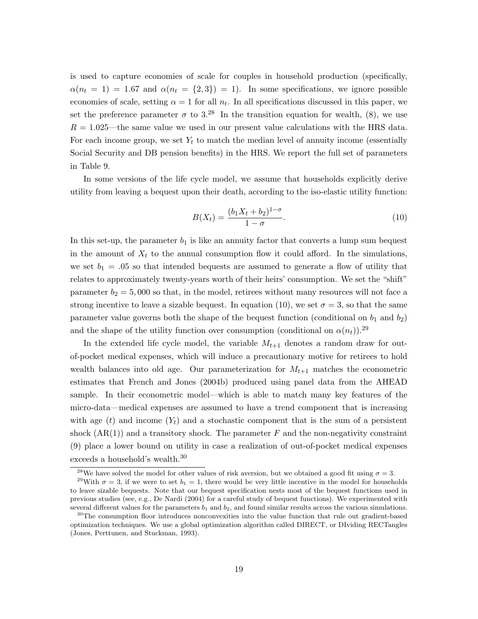is used to capture economies of scale for couples in household production (specifically,  $\alpha(n_t = 1) = 1.67$  and  $\alpha(n_t = \{2, 3\}) = 1$ . In some specifications, we ignore possible economies of scale, setting  $\alpha = 1$  for all  $n_t$ . In all specifications discussed in this paper, we set the preference parameter  $\sigma$  to 3.<sup>28</sup> In the transition equation for wealth, (8), we use  $R = 1.025$ —the same value we used in our present value calculations with the HRS data. For each income group, we set  $Y_t$  to match the median level of annuity income (essentially Social Security and DB pension benefits) in the HRS. We report the full set of parameters in Table 9.

In some versions of the life cycle model, we assume that households explicitly derive utility from leaving a bequest upon their death, according to the iso-elastic utility function:

$$
B(X_t) = \frac{(b_1 X_t + b_2)^{1-\sigma}}{1-\sigma}.
$$
\n(10)

In this set-up, the parameter  $b_1$  is like an annuity factor that converts a lump sum bequest in the amount of  $X_t$  to the annual consumption flow it could afford. In the simulations, we set  $b_1 = .05$  so that intended bequests are assumed to generate a flow of utility that relates to approximately twenty-years worth of their heirs' consumption. We set the "shift" parameter  $b_2 = 5,000$  so that, in the model, retirees without many resources will not face a strong incentive to leave a sizable bequest. In equation (10), we set  $\sigma = 3$ , so that the same parameter value governs both the shape of the bequest function (conditional on  $b_1$  and  $b_2$ ) and the shape of the utility function over consumption (conditional on  $\alpha(n_t)$ ).<sup>29</sup>

In the extended life cycle model, the variable  $M_{t+1}$  denotes a random draw for outof-pocket medical expenses, which will induce a precautionary motive for retirees to hold wealth balances into old age. Our parameterization for  $M_{t+1}$  matches the econometric estimates that French and Jones (2004b) produced using panel data from the AHEAD sample. In their econometric model—which is able to match many key features of the micro-data—medical expenses are assumed to have a trend component that is increasing with age (t) and income  $(Y_t)$  and a stochastic component that is the sum of a persistent shock  $(AR(1))$  and a transitory shock. The parameter F and the non-negativity constraint (9) place a lower bound on utility in case a realization of out-of-pocket medical expenses exceeds a household's wealth.<sup>30</sup>

<sup>&</sup>lt;sup>28</sup>We have solved the model for other values of risk aversion, but we obtained a good fit using  $\sigma = 3$ .

<sup>&</sup>lt;sup>29</sup>With  $\sigma = 3$ , if we were to set  $b_1 = 1$ , there would be very little incentive in the model for households to leave sizable bequests. Note that our bequest specification nests most of the bequest functions used in previous studies (see, e.g., De Nardi (2004) for a careful study of bequest functions). We experimented with several different values for the parameters  $b_1$  and  $b_2$ , and found similar results across the various simulations.

<sup>&</sup>lt;sup>30</sup>The consumption floor introduces nonconvexities into the value function that rule out gradient-based optimization techniques. We use a global optimization algorithm called DIRECT, or DIviding RECTangles (Jones, Perttunen, and Stuckman, 1993).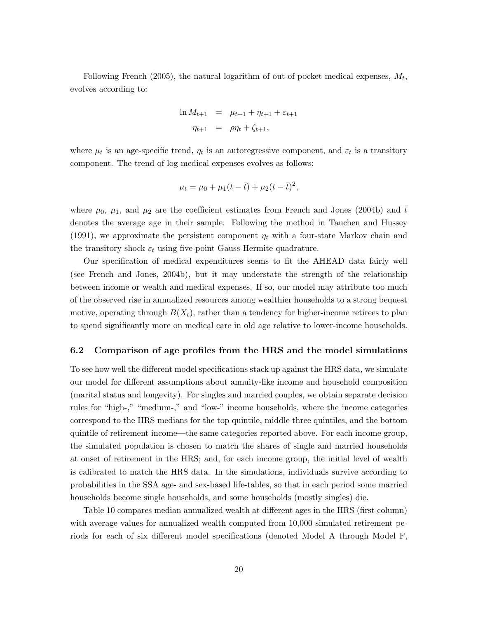Following French (2005), the natural logarithm of out-of-pocket medical expenses,  $M_t$ , evolves according to:

$$
\ln M_{t+1} = \mu_{t+1} + \eta_{t+1} + \varepsilon_{t+1} \n\eta_{t+1} = \rho \eta_t + \zeta_{t+1},
$$

where  $\mu_t$  is an age-specific trend,  $\eta_t$  is an autoregressive component, and  $\varepsilon_t$  is a transitory component. The trend of log medical expenses evolves as follows:

$$
\mu_t = \mu_0 + \mu_1(t - \bar{t}) + \mu_2(t - \bar{t})^2,
$$

where  $\mu_0$ ,  $\mu_1$ , and  $\mu_2$  are the coefficient estimates from French and Jones (2004b) and t denotes the average age in their sample. Following the method in Tauchen and Hussey (1991), we approximate the persistent component  $\eta_t$  with a four-state Markov chain and the transitory shock  $\varepsilon_t$  using five-point Gauss-Hermite quadrature.

Our specification of medical expenditures seems to fit the AHEAD data fairly well (see French and Jones, 2004b), but it may understate the strength of the relationship between income or wealth and medical expenses. If so, our model may attribute too much of the observed rise in annualized resources among wealthier households to a strong bequest motive, operating through  $B(X_t)$ , rather than a tendency for higher-income retirees to plan to spend significantly more on medical care in old age relative to lower-income households.

#### 6.2 Comparison of age profiles from the HRS and the model simulations

To see how well the different model specifications stack up against the HRS data, we simulate our model for different assumptions about annuity-like income and household composition (marital status and longevity). For singles and married couples, we obtain separate decision rules for "high-," "medium-," and "low-" income households, where the income categories correspond to the HRS medians for the top quintile, middle three quintiles, and the bottom quintile of retirement income—the same categories reported above. For each income group, the simulated population is chosen to match the shares of single and married households at onset of retirement in the HRS; and, for each income group, the initial level of wealth is calibrated to match the HRS data. In the simulations, individuals survive according to probabilities in the SSA age- and sex-based life-tables, so that in each period some married households become single households, and some households (mostly singles) die.

Table 10 compares median annualized wealth at different ages in the HRS (first column) with average values for annualized wealth computed from 10,000 simulated retirement periods for each of six different model specifications (denoted Model A through Model F,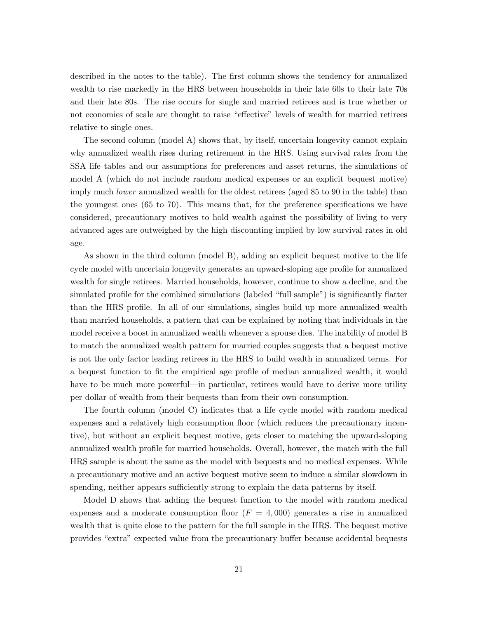described in the notes to the table). The first column shows the tendency for annualized wealth to rise markedly in the HRS between households in their late 60s to their late 70s and their late 80s. The rise occurs for single and married retirees and is true whether or not economies of scale are thought to raise "effective" levels of wealth for married retirees relative to single ones.

The second column (model A) shows that, by itself, uncertain longevity cannot explain why annualized wealth rises during retirement in the HRS. Using survival rates from the SSA life tables and our assumptions for preferences and asset returns, the simulations of model A (which do not include random medical expenses or an explicit bequest motive) imply much lower annualized wealth for the oldest retirees (aged 85 to 90 in the table) than the youngest ones (65 to 70). This means that, for the preference specifications we have considered, precautionary motives to hold wealth against the possibility of living to very advanced ages are outweighed by the high discounting implied by low survival rates in old age.

As shown in the third column (model B), adding an explicit bequest motive to the life cycle model with uncertain longevity generates an upward-sloping age profile for annualized wealth for single retirees. Married households, however, continue to show a decline, and the simulated profile for the combined simulations (labeled "full sample") is significantly flatter than the HRS profile. In all of our simulations, singles build up more annualized wealth than married households, a pattern that can be explained by noting that individuals in the model receive a boost in annualized wealth whenever a spouse dies. The inability of model B to match the annualized wealth pattern for married couples suggests that a bequest motive is not the only factor leading retirees in the HRS to build wealth in annualized terms. For a bequest function to fit the empirical age profile of median annualized wealth, it would have to be much more powerful—in particular, retirees would have to derive more utility per dollar of wealth from their bequests than from their own consumption.

The fourth column (model C) indicates that a life cycle model with random medical expenses and a relatively high consumption floor (which reduces the precautionary incentive), but without an explicit bequest motive, gets closer to matching the upward-sloping annualized wealth profile for married households. Overall, however, the match with the full HRS sample is about the same as the model with bequests and no medical expenses. While a precautionary motive and an active bequest motive seem to induce a similar slowdown in spending, neither appears sufficiently strong to explain the data patterns by itself.

Model D shows that adding the bequest function to the model with random medical expenses and a moderate consumption floor  $(F = 4,000)$  generates a rise in annualized wealth that is quite close to the pattern for the full sample in the HRS. The bequest motive provides "extra" expected value from the precautionary buffer because accidental bequests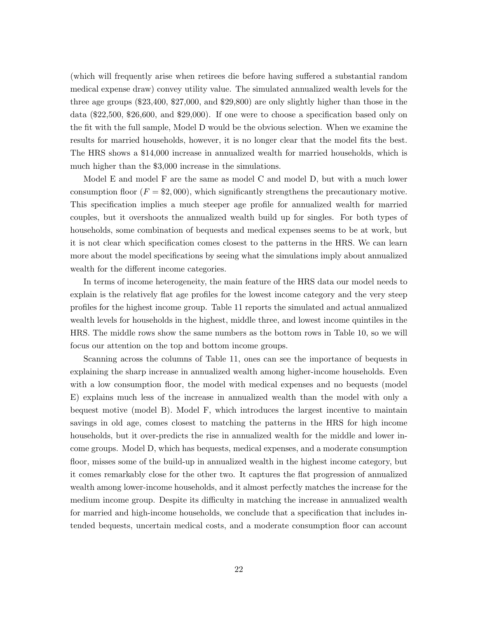(which will frequently arise when retirees die before having suffered a substantial random medical expense draw) convey utility value. The simulated annualized wealth levels for the three age groups (\$23,400, \$27,000, and \$29,800) are only slightly higher than those in the data (\$22,500, \$26,600, and \$29,000). If one were to choose a specification based only on the fit with the full sample, Model D would be the obvious selection. When we examine the results for married households, however, it is no longer clear that the model fits the best. The HRS shows a \$14,000 increase in annualized wealth for married households, which is much higher than the \$3,000 increase in the simulations.

Model E and model F are the same as model C and model D, but with a much lower consumption floor  $(F = $2,000)$ , which significantly strengthens the precautionary motive. This specification implies a much steeper age profile for annualized wealth for married couples, but it overshoots the annualized wealth build up for singles. For both types of households, some combination of bequests and medical expenses seems to be at work, but it is not clear which specification comes closest to the patterns in the HRS. We can learn more about the model specifications by seeing what the simulations imply about annualized wealth for the different income categories.

In terms of income heterogeneity, the main feature of the HRS data our model needs to explain is the relatively flat age profiles for the lowest income category and the very steep profiles for the highest income group. Table 11 reports the simulated and actual annualized wealth levels for households in the highest, middle three, and lowest income quintiles in the HRS. The middle rows show the same numbers as the bottom rows in Table 10, so we will focus our attention on the top and bottom income groups.

Scanning across the columns of Table 11, ones can see the importance of bequests in explaining the sharp increase in annualized wealth among higher-income households. Even with a low consumption floor, the model with medical expenses and no bequests (model E) explains much less of the increase in annualized wealth than the model with only a bequest motive (model B). Model F, which introduces the largest incentive to maintain savings in old age, comes closest to matching the patterns in the HRS for high income households, but it over-predicts the rise in annualized wealth for the middle and lower income groups. Model D, which has bequests, medical expenses, and a moderate consumption floor, misses some of the build-up in annualized wealth in the highest income category, but it comes remarkably close for the other two. It captures the flat progression of annualized wealth among lower-income households, and it almost perfectly matches the increase for the medium income group. Despite its difficulty in matching the increase in annualized wealth for married and high-income households, we conclude that a specification that includes intended bequests, uncertain medical costs, and a moderate consumption floor can account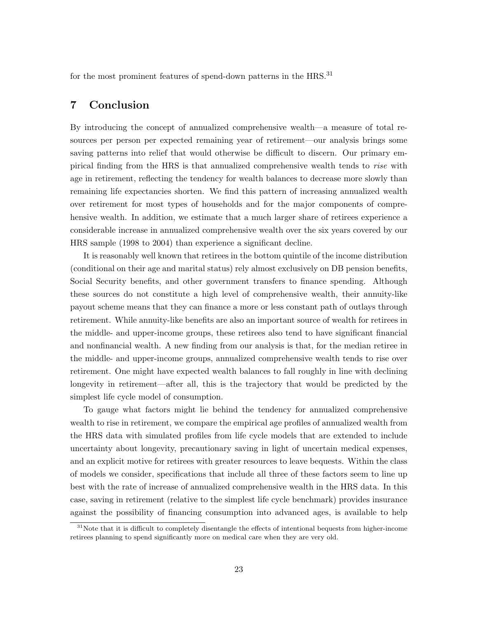for the most prominent features of spend-down patterns in the HRS.<sup>31</sup>

## 7 Conclusion

By introducing the concept of annualized comprehensive wealth—a measure of total resources per person per expected remaining year of retirement—our analysis brings some saving patterns into relief that would otherwise be difficult to discern. Our primary empirical finding from the HRS is that annualized comprehensive wealth tends to rise with age in retirement, reflecting the tendency for wealth balances to decrease more slowly than remaining life expectancies shorten. We find this pattern of increasing annualized wealth over retirement for most types of households and for the major components of comprehensive wealth. In addition, we estimate that a much larger share of retirees experience a considerable increase in annualized comprehensive wealth over the six years covered by our HRS sample (1998 to 2004) than experience a significant decline.

It is reasonably well known that retirees in the bottom quintile of the income distribution (conditional on their age and marital status) rely almost exclusively on DB pension benefits, Social Security benefits, and other government transfers to finance spending. Although these sources do not constitute a high level of comprehensive wealth, their annuity-like payout scheme means that they can finance a more or less constant path of outlays through retirement. While annuity-like benefits are also an important source of wealth for retirees in the middle- and upper-income groups, these retirees also tend to have significant financial and nonfinancial wealth. A new finding from our analysis is that, for the median retiree in the middle- and upper-income groups, annualized comprehensive wealth tends to rise over retirement. One might have expected wealth balances to fall roughly in line with declining longevity in retirement—after all, this is the trajectory that would be predicted by the simplest life cycle model of consumption.

To gauge what factors might lie behind the tendency for annualized comprehensive wealth to rise in retirement, we compare the empirical age profiles of annualized wealth from the HRS data with simulated profiles from life cycle models that are extended to include uncertainty about longevity, precautionary saving in light of uncertain medical expenses, and an explicit motive for retirees with greater resources to leave bequests. Within the class of models we consider, specifications that include all three of these factors seem to line up best with the rate of increase of annualized comprehensive wealth in the HRS data. In this case, saving in retirement (relative to the simplest life cycle benchmark) provides insurance against the possibility of financing consumption into advanced ages, is available to help

<sup>&</sup>lt;sup>31</sup>Note that it is difficult to completely disentangle the effects of intentional bequests from higher-income retirees planning to spend significantly more on medical care when they are very old.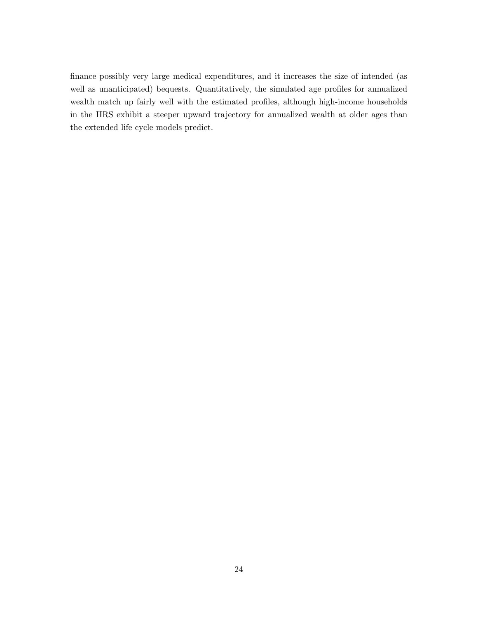finance possibly very large medical expenditures, and it increases the size of intended (as well as unanticipated) bequests. Quantitatively, the simulated age profiles for annualized wealth match up fairly well with the estimated profiles, although high-income households in the HRS exhibit a steeper upward trajectory for annualized wealth at older ages than the extended life cycle models predict.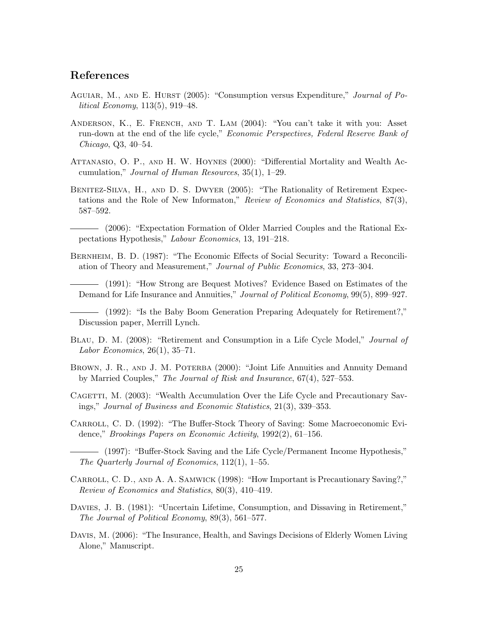## References

- AGUIAR, M., AND E. HURST (2005): "Consumption versus Expenditure," Journal of Political Economy, 113(5), 919–48.
- Anderson, K., E. French, and T. Lam (2004): "You can't take it with you: Asset run-down at the end of the life cycle," Economic Perspectives, Federal Reserve Bank of Chicago, Q3, 40–54.
- Attanasio, O. P., and H. W. Hoynes (2000): "Differential Mortality and Wealth Accumulation," Journal of Human Resources, 35(1), 1–29.
- Benitez-Silva, H., and D. S. Dwyer (2005): "The Rationality of Retirement Expectations and the Role of New Informaton," Review of Economics and Statistics, 87(3), 587–592.

(2006): "Expectation Formation of Older Married Couples and the Rational Expectations Hypothesis," Labour Economics, 13, 191–218.

- Bernheim, B. D. (1987): "The Economic Effects of Social Security: Toward a Reconciliation of Theory and Measurement," Journal of Public Economics, 33, 273–304.
- (1991): "How Strong are Bequest Motives? Evidence Based on Estimates of the Demand for Life Insurance and Annuities," Journal of Political Economy, 99(5), 899–927.

(1992): "Is the Baby Boom Generation Preparing Adequately for Retirement?," Discussion paper, Merrill Lynch.

- BLAU, D. M. (2008): "Retirement and Consumption in a Life Cycle Model," *Journal of Labor Economics*,  $26(1)$ ,  $35-71$ .
- BROWN, J. R., AND J. M. POTERBA (2000): "Joint Life Annuities and Annuity Demand by Married Couples," The Journal of Risk and Insurance, 67(4), 527–553.
- CAGETTI, M. (2003): "Wealth Accumulation Over the Life Cycle and Precautionary Savings," Journal of Business and Economic Statistics, 21(3), 339–353.
- CARROLL, C. D. (1992): "The Buffer-Stock Theory of Saving: Some Macroeconomic Evidence," Brookings Papers on Economic Activity, 1992(2), 61–156.

(1997): "Buffer-Stock Saving and the Life Cycle/Permanent Income Hypothesis," The Quarterly Journal of Economics, 112(1), 1–55.

- CARROLL, C. D., AND A. A. SAMWICK (1998): "How Important is Precautionary Saving?," Review of Economics and Statistics, 80(3), 410–419.
- DAVIES, J. B. (1981): "Uncertain Lifetime, Consumption, and Dissaving in Retirement," The Journal of Political Economy, 89(3), 561–577.
- Davis, M. (2006): "The Insurance, Health, and Savings Decisions of Elderly Women Living Alone," Manuscript.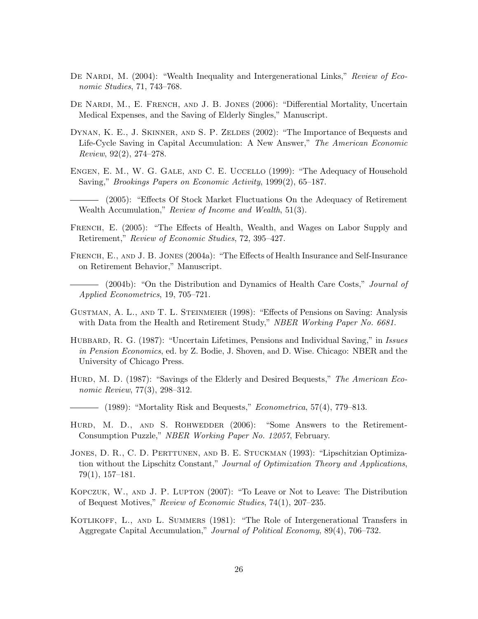- DE NARDI, M. (2004): "Wealth Inequality and Intergenerational Links," Review of Economic Studies, 71, 743–768.
- DE NARDI, M., E. FRENCH, AND J. B. JONES (2006): "Differential Mortality, Uncertain Medical Expenses, and the Saving of Elderly Singles," Manuscript.
- DYNAN, K. E., J. SKINNER, AND S. P. ZELDES (2002): "The Importance of Bequests and Life-Cycle Saving in Capital Accumulation: A New Answer," The American Economic Review, 92(2), 274–278.
- Engen, E. M., W. G. Gale, and C. E. Uccello (1999): "The Adequacy of Household Saving," Brookings Papers on Economic Activity, 1999(2), 65–187.
- (2005): "Effects Of Stock Market Fluctuations On the Adequacy of Retirement Wealth Accumulation," Review of Income and Wealth, 51(3).
- French, E. (2005): "The Effects of Health, Wealth, and Wages on Labor Supply and Retirement," Review of Economic Studies, 72, 395–427.
- FRENCH, E., AND J. B. JONES (2004a): "The Effects of Health Insurance and Self-Insurance on Retirement Behavior," Manuscript.
- (2004b): "On the Distribution and Dynamics of Health Care Costs," Journal of Applied Econometrics, 19, 705–721.
- Gustman, A. L., and T. L. Steinmeier (1998): "Effects of Pensions on Saving: Analysis with Data from the Health and Retirement Study," NBER Working Paper No. 6681.
- HUBBARD, R. G. (1987): "Uncertain Lifetimes, Pensions and Individual Saving," in *Issues* in Pension Economics, ed. by Z. Bodie, J. Shoven, and D. Wise. Chicago: NBER and the University of Chicago Press.
- HURD, M. D. (1987): "Savings of the Elderly and Desired Bequests," The American Economic Review, 77(3), 298–312.
- $-$  (1989): "Mortality Risk and Bequests," *Econometrica*, 57(4), 779–813.
- HURD, M. D., AND S. ROHWEDDER (2006): "Some Answers to the Retirement-Consumption Puzzle," NBER Working Paper No. 12057, February.
- Jones, D. R., C. D. Perttunen, and B. E. Stuckman (1993): "Lipschitzian Optimization without the Lipschitz Constant," Journal of Optimization Theory and Applications, 79(1), 157–181.
- Kopczuk, W., and J. P. Lupton (2007): "To Leave or Not to Leave: The Distribution of Bequest Motives," Review of Economic Studies, 74(1), 207–235.
- KOTLIKOFF, L., AND L. SUMMERS (1981): "The Role of Intergenerational Transfers in Aggregate Capital Accumulation," Journal of Political Economy, 89(4), 706–732.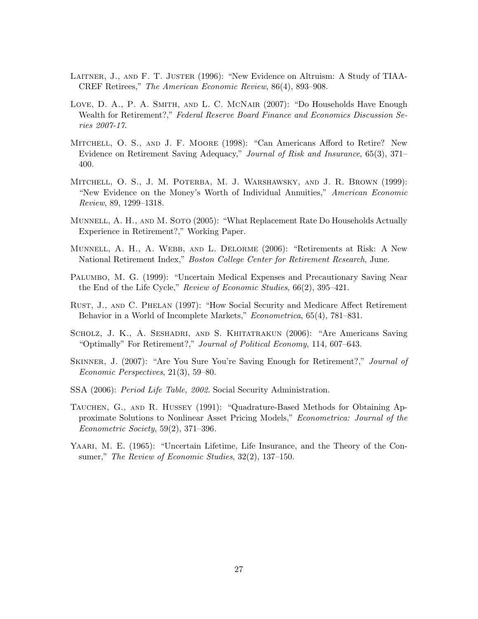- LAITNER, J., AND F. T. JUSTER (1996): "New Evidence on Altruism: A Study of TIAA-CREF Retirees," The American Economic Review, 86(4), 893–908.
- Love, D. A., P. A. Smith, and L. C. McNair (2007): "Do Households Have Enough Wealth for Retirement?," Federal Reserve Board Finance and Economics Discussion Series 2007-17.
- Mitchell, O. S., and J. F. Moore (1998): "Can Americans Afford to Retire? New Evidence on Retirement Saving Adequacy," Journal of Risk and Insurance, 65(3), 371– 400.
- Mitchell, O. S., J. M. Poterba, M. J. Warshawsky, and J. R. Brown (1999): "New Evidence on the Money's Worth of Individual Annuities," American Economic Review, 89, 1299–1318.
- Munnell, A. H., and M. Soto (2005): "What Replacement Rate Do Households Actually Experience in Retirement?," Working Paper.
- Munnell, A. H., A. Webb, and L. Delorme (2006): "Retirements at Risk: A New National Retirement Index," Boston College Center for Retirement Research, June.
- PALUMBO, M. G. (1999): "Uncertain Medical Expenses and Precautionary Saving Near the End of the Life Cycle," Review of Economic Studies, 66(2), 395–421.
- Rust, J., and C. Phelan (1997): "How Social Security and Medicare Affect Retirement Behavior in a World of Incomplete Markets," Econometrica, 65(4), 781–831.
- Scholz, J. K., A. Seshadri, and S. Khitatrakun (2006): "Are Americans Saving "Optimally" For Retirement?," Journal of Political Economy, 114, 607–643.
- SKINNER, J. (2007): "Are You Sure You're Saving Enough for Retirement?," Journal of Economic Perspectives, 21(3), 59–80.
- SSA (2006): Period Life Table, 2002. Social Security Administration.
- Tauchen, G., and R. Hussey (1991): "Quadrature-Based Methods for Obtaining Approximate Solutions to Nonlinear Asset Pricing Models," Econometrica: Journal of the Econometric Society,  $59(2)$ ,  $371-396$ .
- YAARI, M. E. (1965): "Uncertain Lifetime, Life Insurance, and the Theory of the Consumer," The Review of Economic Studies, 32(2), 137–150.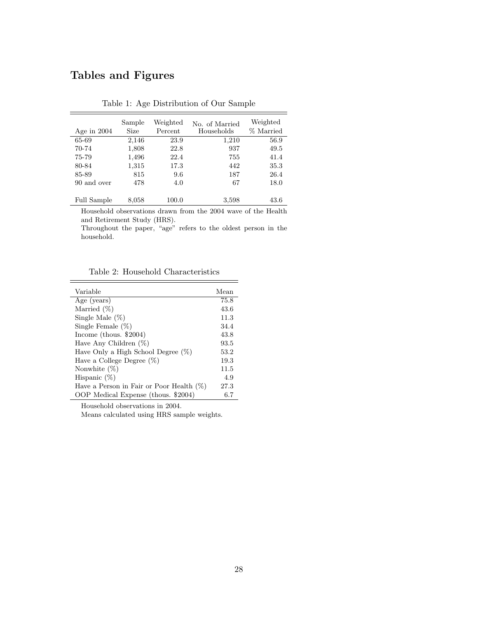# Tables and Figures

| Age in $2004$ | Sample<br>Size | Weighted<br>Percent | No. of Married<br>Households | Weighted<br>% Married |
|---------------|----------------|---------------------|------------------------------|-----------------------|
| 65-69         | 2,146          | 23.9                | 1,210                        | 56.9                  |
| 70-74         | 1,808          | 22.8                | 937                          | 49.5                  |
| 75-79         | 1,496          | 22.4                | 755                          | 41.4                  |
| 80-84         | 1,315          | 17.3                | 442                          | 35.3                  |
| 85-89         | 815            | 9.6                 | 187                          | 26.4                  |
| 90 and over   | 478            | 4.0                 | 67                           | 18.0                  |
| Full Sample   | 8,058          | 100.0               | 3,598                        | 43.6                  |

Table 1: Age Distribution of Our Sample

Household observations drawn from the 2004 wave of the Health and Retirement Study (HRS).

Throughout the paper, "age" refers to the oldest person in the household.

Table 2: Household Characteristics

Ë

| Variable                                    | Mean |
|---------------------------------------------|------|
| Age (years)                                 | 75.8 |
| Married $(\%)$                              | 43.6 |
| Single Male $(\%)$                          | 11.3 |
| Single Female $(\%)$                        | 34.4 |
| Income (thous. \$2004)                      | 43.8 |
| Have Any Children $(\%)$                    | 93.5 |
| Have Only a High School Degree $(\%)$       | 53.2 |
| Have a College Degree $(\%)$                | 19.3 |
| Nonwhite $(\%)$                             | 11.5 |
| Hispanic $(\%)$                             | 4.9  |
| Have a Person in Fair or Poor Health $(\%)$ | 27.3 |
| OOP Medical Expense (thous. \$2004)         | 6.7  |

Household observations in 2004.

Means calculated using HRS sample weights.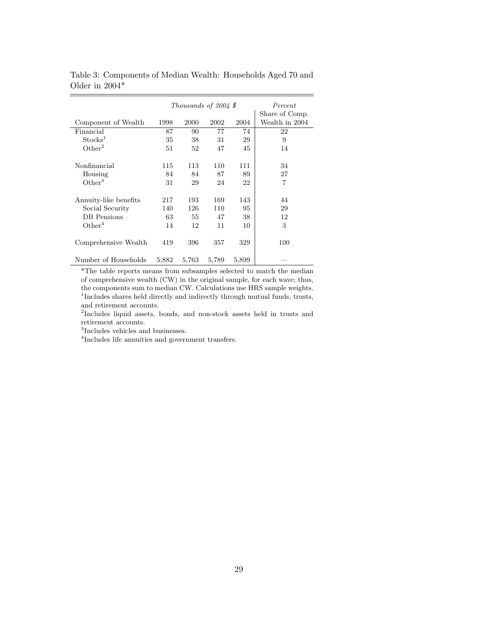|                       |       | Thousands of 2004 \$ | Percent<br>Share of Comp. |       |                |
|-----------------------|-------|----------------------|---------------------------|-------|----------------|
| Component of Wealth   | 1998  | 2000                 | 2002                      | 2004  | Wealth in 2004 |
| Financial             | 87    | 90                   | 77                        | 74    | 22             |
| Stocks <sup>1</sup>   | 35    | 38                   | 31                        | 29    | 9              |
| Other <sup>2</sup>    | 51    | 52                   | 47                        | 45    | 14             |
|                       |       |                      |                           |       |                |
| Nonfinancial          | 115   | 113                  | 110                       | 111   | 34             |
| Housing               | 84    | 84                   | 87                        | 89    | 27             |
| Other <sup>3</sup>    | 31    | 29                   | 24                        | 22    | $\overline{7}$ |
| Annuity-like benefits | 217   | 193                  | 169                       | 143   | 44             |
| Social Security       | 140   | 126                  | 110                       | 95    | 29             |
| DB Pensions           | 63    | 55                   | 47                        | 38    | 12             |
| Other <sup>4</sup>    | 14    | 12                   | 11                        | 10    | 3              |
| Comprehensive Wealth  | 419   | 396                  | 357                       | 329   | 100            |
| Number of Households  | 5,882 | 5,763                | 5,789                     | 5,899 |                |

Table 3: Components of Median Wealth: Households Aged 70 and Older in  $2004^{\ast}$ 

\*The table reports means from subsamples selected to match the median of comprehensive wealth (CW) in the original sample, for each wave; thus, the components sum to median CW. Calculations use HRS sample weights. <sup>1</sup>Includes shares held directly and indirectly through mutual funds, trusts, and retirement accounts.

2 Includes liquid assets, bonds, and non-stock assets held in trusts and retirement accounts.

3 Includes vehicles and businesses.

4 Includes life annuities and government transfers.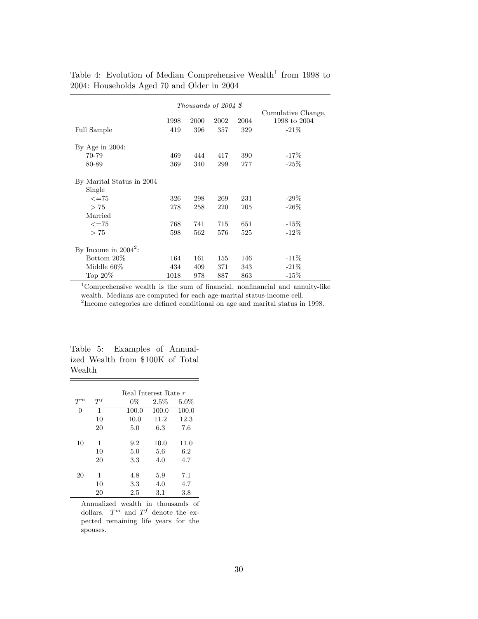|                                     | Thousands of 2004 \$ |      |      |      |                    |  |  |  |
|-------------------------------------|----------------------|------|------|------|--------------------|--|--|--|
|                                     |                      |      |      |      | Cumulative Change, |  |  |  |
|                                     | 1998                 | 2000 | 2002 | 2004 | 1998 to 2004       |  |  |  |
| <b>Full Sample</b>                  | 419                  | 396  | 357  | 329  | $-21\%$            |  |  |  |
|                                     |                      |      |      |      |                    |  |  |  |
| By Age in $2004$ :                  |                      |      |      |      |                    |  |  |  |
| 70-79                               | 469                  | 444  | 417  | 390  | $-17\%$            |  |  |  |
| 80-89                               | 369                  | 340  | 299  | 277  | $-25%$             |  |  |  |
| By Marital Status in 2004<br>Single |                      |      |      |      |                    |  |  |  |
| $\epsilon = 75$                     | 326                  | 298  | 269  | 231  | $-29\%$            |  |  |  |
| >75                                 | 278                  | 258  | 220  | 205  | $-26\%$            |  |  |  |
| Married                             |                      |      |      |      |                    |  |  |  |
| $\leq$ =75                          | 768                  | 741  | 715  | 651  | $-15%$             |  |  |  |
| >75                                 | 598                  | 562  | 576  | 525  | $-12\%$            |  |  |  |
| By Income in $2004^2$ :             |                      |      |      |      |                    |  |  |  |
| Bottom 20\%                         | 164                  | 161  | 155  | 146  | $-11\%$            |  |  |  |
| Middle 60\%                         | 434                  | 409  | 371  | 343  | $-21\%$            |  |  |  |
| Top $20\%$                          | 1018                 | 978  | 887  | 863  | $-15%$             |  |  |  |

Table 4: Evolution of Median Comprehensive Wealth<sup>1</sup> from 1998 to 2004: Households Aged 70 and Older in 2004

<sup>1</sup>Comprehensive wealth is the sum of financial, nonfinancial and annuity-like wealth. Medians are computed for each age-marital status-income cell. <sup>2</sup>Income categories are defined conditional on age and marital status in 1998.

Table 5: Examples of Annualized Wealth from \$100K of Total Wealth

 $=$ 

 $=$ 

|       |       |       | Real Interest Rate r |         |  |  |  |  |  |  |  |
|-------|-------|-------|----------------------|---------|--|--|--|--|--|--|--|
| $T^m$ | $T^f$ | $0\%$ | 2.5%                 | $5.0\%$ |  |  |  |  |  |  |  |
| 0     | 1     | 100.0 | 100.0                | 100.0   |  |  |  |  |  |  |  |
|       | 10    | 10.0  | 11.2                 | 12.3    |  |  |  |  |  |  |  |
|       | 20    | 5.0   | 6.3                  | 7.6     |  |  |  |  |  |  |  |
|       |       |       |                      |         |  |  |  |  |  |  |  |
| 10    | 1     | 9.2   | 10.0                 | 11.0    |  |  |  |  |  |  |  |
|       | 10    | 5.0   | 5.6                  | 6.2     |  |  |  |  |  |  |  |
|       | 20    | 3.3   | 4.0                  | 4.7     |  |  |  |  |  |  |  |
|       |       |       |                      |         |  |  |  |  |  |  |  |
| 20    | 1     | 4.8   | 5.9                  | 7.1     |  |  |  |  |  |  |  |
|       | 10    | 3.3   | 4.0                  | 4.7     |  |  |  |  |  |  |  |
|       | 20    | 2.5   | 3.1                  | 3.8     |  |  |  |  |  |  |  |

Annualized wealth in thousands of dollars.  $T^m$  and  $T^f$  denote the expected remaining life years for the spouses.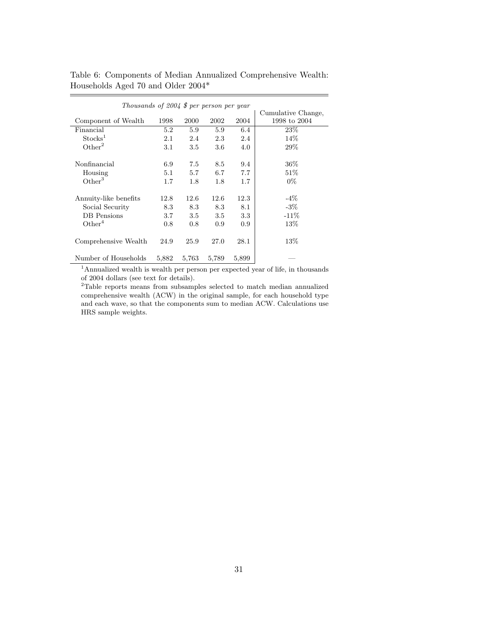|                       | Thousands of 2004 $\hat{s}$ per person per year |       |         |       |              |  |  |  |  |
|-----------------------|-------------------------------------------------|-------|---------|-------|--------------|--|--|--|--|
|                       | Cumulative Change,                              |       |         |       |              |  |  |  |  |
| Component of Wealth   | 1998                                            | 2000  | 2002    | 2004  | 1998 to 2004 |  |  |  |  |
| Financial             | 5.2                                             | 5.9   | 5.9     | 6.4   | 23%          |  |  |  |  |
| Stocks <sup>1</sup>   | 2.1                                             | 2.4   | 2.3     | 2.4   | 14\%         |  |  |  |  |
| Other <sup>2</sup>    | 3.1                                             | 3.5   | 3.6     | 4.0   | 29\%         |  |  |  |  |
| Nonfinancial          | 6.9                                             | 7.5   | 8.5     | 9.4   | $36\%$       |  |  |  |  |
| Housing               | 5.1                                             | 5.7   | 6.7     | 7.7   | 51%          |  |  |  |  |
| Other <sup>3</sup>    | 1.7                                             | 1.8   | 1.8     | 1.7   | $0\%$        |  |  |  |  |
| Annuity-like benefits | 12.8                                            | 12.6  | 12.6    | 12.3  | $-4\%$       |  |  |  |  |
| Social Security       | 8.3                                             | 8.3   | 8.3     | 8.1   | $-3\%$       |  |  |  |  |
| DB Pensions           | 3.7                                             | 3.5   | $3.5\,$ | 3.3   | $-11\%$      |  |  |  |  |
| Other <sup>4</sup>    | 0.8                                             | 0.8   | 0.9     | 0.9   | $13\%$       |  |  |  |  |
| Comprehensive Wealth  | 24.9                                            | 25.9  | 27.0    | 28.1  | $13\%$       |  |  |  |  |
| Number of Households  | 5,882                                           | 5,763 | 5,789   | 5,899 |              |  |  |  |  |

Table 6: Components of Median Annualized Comprehensive Wealth: Households Aged 70 and Older 2004\*

 $1$ Annualized wealth is wealth per person per expected year of life, in thousands of 2004 dollars (see text for details).

<sup>2</sup>Table reports means from subsamples selected to match median annualized comprehensive wealth (ACW) in the original sample, for each household type and each wave, so that the components sum to median ACW. Calculations use HRS sample weights.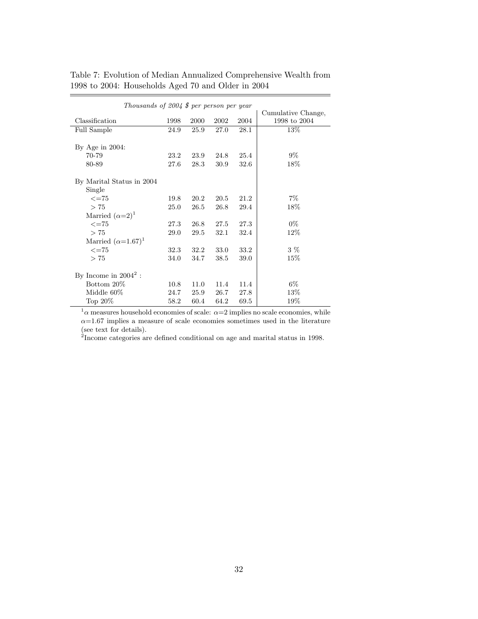| Thousands of 2004 \$ per person per year |      |      |      |      |                    |
|------------------------------------------|------|------|------|------|--------------------|
|                                          |      |      |      |      | Cumulative Change, |
| Classification                           | 1998 | 2000 | 2002 | 2004 | 1998 to 2004       |
| Full Sample                              | 24.9 | 25.9 | 27.0 | 28.1 | 13%                |
|                                          |      |      |      |      |                    |
| By Age in $2004$ :                       |      |      |      |      |                    |
| 70-79                                    | 23.2 | 23.9 | 24.8 | 25.4 | $9\%$              |
| 80-89                                    | 27.6 | 28.3 | 30.9 | 32.6 | 18%                |
| By Marital Status in 2004                |      |      |      |      |                    |
| Single                                   |      |      |      |      |                    |
| $\leq$ =75                               | 19.8 | 20.2 | 20.5 | 21.2 | $7\%$              |
| > 75                                     | 25.0 | 26.5 | 26.8 | 29.4 | 18%                |
| Married $(\alpha=2)^1$                   |      |      |      |      |                    |
| $\leq$ =75                               | 27.3 | 26.8 | 27.5 | 27.3 | $0\%$              |
| >75                                      | 29.0 | 29.5 | 32.1 | 32.4 | 12\%               |
| Married $(\alpha=1.67)^1$                |      |      |      |      |                    |
| $\leq$ =75                               | 32.3 | 32.2 | 33.0 | 33.2 | $3\%$              |
| >75                                      | 34.0 | 34.7 | 38.5 | 39.0 | 15%                |
| By Income in $2004^2$ :                  |      |      |      |      |                    |
| Bottom 20%                               | 10.8 | 11.0 | 11.4 | 11.4 | $6\%$              |
| Middle 60%                               | 24.7 | 25.9 | 26.7 | 27.8 | 13\%               |
| Top $20\%$                               | 58.2 | 60.4 | 64.2 | 69.5 | $19\%$             |
|                                          |      |      |      |      |                    |

Table 7: Evolution of Median Annualized Comprehensive Wealth from 1998 to 2004: Households Aged 70 and Older in 2004

 $=$ 

 $^1\alpha$  measures household economies of scale:  $\alpha{=}2$  implies no scale economies, while  $\alpha$ =1.67 implies a measure of scale economies sometimes used in the literature (see text for details).

<sup>2</sup>Income categories are defined conditional on age and marital status in 1998.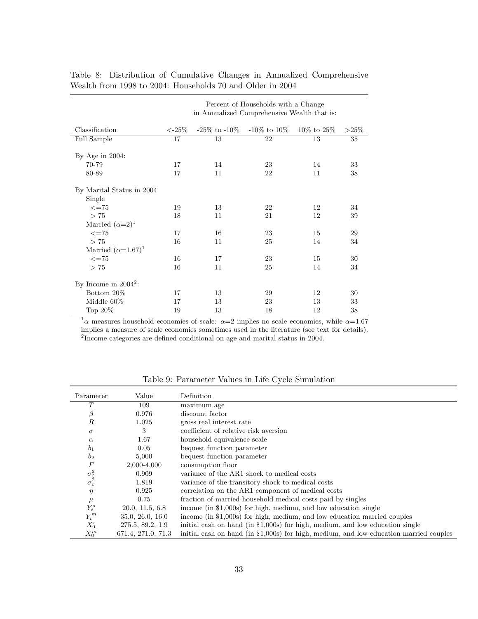| Percent of Households with a Change |                                             |              |             |                  |         |  |  |  |  |  |
|-------------------------------------|---------------------------------------------|--------------|-------------|------------------|---------|--|--|--|--|--|
|                                     | in Annualized Comprehensive Wealth that is: |              |             |                  |         |  |  |  |  |  |
| Classification                      | $\epsilon$ -25%                             | -25% to -10% | -10% to 10% | $10\%$ to $25\%$ | $>25\%$ |  |  |  |  |  |
| Full Sample                         | 17                                          | 13           | 22          | 13               | 35      |  |  |  |  |  |
| By Age in $2004$ :                  |                                             |              |             |                  |         |  |  |  |  |  |
| 70-79                               | 17                                          | 14           | 23          | 14               | 33      |  |  |  |  |  |
| 80-89                               | 17                                          | 11           | 22          | 11               | 38      |  |  |  |  |  |
| By Marital Status in 2004<br>Single |                                             |              |             |                  |         |  |  |  |  |  |
| $\leq$ =75                          | 19                                          | 13           | 22          | 12               | 34      |  |  |  |  |  |
| >75                                 | 18                                          | 11           | 21          | 12               | 39      |  |  |  |  |  |
| Married $(\alpha=2)^1$              |                                             |              |             |                  |         |  |  |  |  |  |
| $\leq$ =75                          | 17                                          | 16           | 23          | 15               | 29      |  |  |  |  |  |
| > 75                                | 16                                          | 11           | 25          | 14               | 34      |  |  |  |  |  |
| Married $(\alpha=1.67)^1$           |                                             |              |             |                  |         |  |  |  |  |  |
| $\leq$ =75                          | 16                                          | 17           | 23          | 15               | 30      |  |  |  |  |  |
| >75                                 | 16                                          | 11           | 25          | 14               | 34      |  |  |  |  |  |
| By Income in $2004^2$ :             |                                             |              |             |                  |         |  |  |  |  |  |
| Bottom 20%                          | 17                                          | 13           | 29          | 12               | 30      |  |  |  |  |  |
| Middle 60%                          | 17                                          | 13           | 23          | 13               | 33      |  |  |  |  |  |
| Top 20%                             | 19                                          | 13           | 18          | 12               | 38      |  |  |  |  |  |

Table 8: Distribution of Cumulative Changes in Annualized Comprehensive Wealth from 1998 to 2004: Households 70 and Older in 2004

 $=$ 

 $1\alpha$  measures household economies of scale:  $\alpha=2$  implies no scale economies, while  $\alpha=1.67$ implies a measure of scale economies sometimes used in the literature (see text for details). <sup>2</sup>Income categories are defined conditional on age and marital status in 2004.

| Parameter                | Value              | Definition                                                                             |
|--------------------------|--------------------|----------------------------------------------------------------------------------------|
| T                        | 109                | maximum age                                                                            |
| β                        | 0.976              | discount factor                                                                        |
| $\boldsymbol{R}$         | 1.025              | gross real interest rate                                                               |
| $\sigma$                 | 3                  | coefficient of relative risk aversion                                                  |
| $\alpha$                 | 1.67               | household equivalence scale                                                            |
| $b_1$                    | 0.05               | bequest function parameter                                                             |
| b <sub>2</sub>           | 5,000              | bequest function parameter                                                             |
| $\boldsymbol{F}$         | 2,000-4,000        | consumption floor                                                                      |
| $\sigma_{\hat{\zeta}}^2$ | 0.909              | variance of the AR1 shock to medical costs                                             |
|                          | 1.819              | variance of the transitory shock to medical costs                                      |
| $\eta$                   | 0.925              | correlation on the AR1 component of medical costs                                      |
| $\mu$                    | 0.75               | fraction of married household medical costs paid by singles                            |
| $Y_t^s$                  | 20.0, 11.5, 6.8    | income (in \$1,000s) for high, medium, and low education single                        |
| $Y_t^m$                  | 35.0, 26.0, 16.0   | income (in \$1,000s) for high, medium, and low education married couples               |
| $X_0^s$                  | 275.5, 89.2, 1.9   | initial cash on hand (in \$1,000s) for high, medium, and low education single          |
| $X_0^m$                  | 671.4, 271.0, 71.3 | initial cash on hand (in \$1,000s) for high, medium, and low education married couples |

Table 9: Parameter Values in Life Cycle Simulation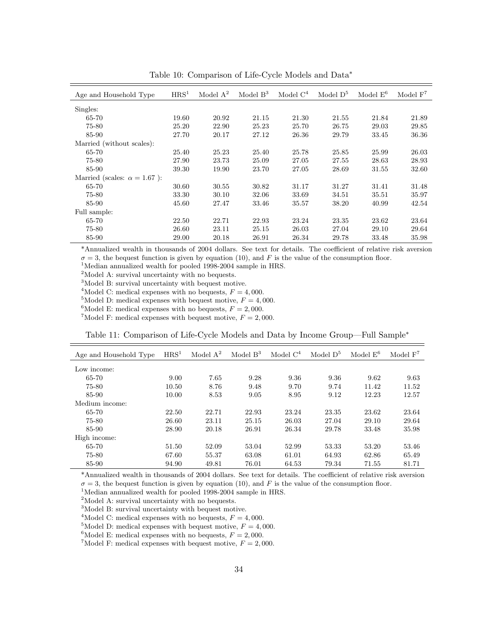| Age and Household Type              | HRS <sup>1</sup> | Model $A^2$ | Model $B^3$ | Model $C^4$ | Model $D^5$ | Model $E^6$ | Model $F7$ |
|-------------------------------------|------------------|-------------|-------------|-------------|-------------|-------------|------------|
| Singles:                            |                  |             |             |             |             |             |            |
| 65-70                               | 19.60            | 20.92       | 21.15       | 21.30       | 21.55       | 21.84       | 21.89      |
| 75-80                               | 25.20            | 22.90       | 25.23       | 25.70       | 26.75       | 29.03       | 29.85      |
| 85-90                               | 27.70            | 20.17       | 27.12       | 26.36       | 29.79       | 33.45       | 36.36      |
| Married (without scales):           |                  |             |             |             |             |             |            |
| 65-70                               | 25.40            | 25.23       | 25.40       | 25.78       | 25.85       | 25.99       | 26.03      |
| 75-80                               | 27.90            | 23.73       | 25.09       | 27.05       | 27.55       | 28.63       | 28.93      |
| 85-90                               | 39.30            | 19.90       | 23.70       | 27.05       | 28.69       | 31.55       | 32.60      |
| Married (scales: $\alpha = 1.67$ ): |                  |             |             |             |             |             |            |
| 65-70                               | 30.60            | 30.55       | 30.82       | 31.17       | 31.27       | 31.41       | 31.48      |
| 75-80                               | 33.30            | 30.10       | 32.06       | 33.69       | 34.51       | 35.51       | 35.97      |
| 85-90                               | 45.60            | 27.47       | 33.46       | 35.57       | 38.20       | 40.99       | 42.54      |
| Full sample:                        |                  |             |             |             |             |             |            |
| 65-70                               | 22.50            | 22.71       | 22.93       | 23.24       | 23.35       | 23.62       | 23.64      |
| 75-80                               | 26.60            | 23.11       | 25.15       | 26.03       | 27.04       | 29.10       | 29.64      |
| 85-90                               | 29.00            | 20.18       | 26.91       | 26.34       | 29.78       | 33.48       | 35.98      |

Table 10: Comparison of Life-Cycle Models and Data<sup>∗</sup>

\*Annualized wealth in thousands of 2004 dollars. See text for details. The coefficient of relative risk aversion  $\sigma = 3$ , the bequest function is given by equation (10), and F is the value of the consumption floor.

<sup>1</sup>Median annualized wealth for pooled 1998-2004 sample in HRS.

<sup>2</sup>Model A: survival uncertainty with no bequests.

<sup>3</sup>Model B: survival uncertainty with bequest motive.

<sup>4</sup>Model C: medical expenses with no bequests,  $F = 4,000$ .

<sup>5</sup>Model D: medical expenses with bequest motive,  $F = 4,000$ .

<sup>6</sup>Model E: medical expenses with no bequests,  $F = 2,000$ .

<sup>7</sup>Model F: medical expenses with bequest motive,  $F = 2,000$ .

| Table 11. Comparison of Enc-Cycle models and Data by Income Group Tun bample |                  |             |             |             |             |             |             |
|------------------------------------------------------------------------------|------------------|-------------|-------------|-------------|-------------|-------------|-------------|
| Age and Household Type                                                       | HRS <sup>1</sup> | Model $A^2$ | Model $B^3$ | Model $C^4$ | Model $D^5$ | Model $E^6$ | Model $F^7$ |
| Low income:                                                                  |                  |             |             |             |             |             |             |
| 65-70                                                                        | 9.00             | 7.65        | 9.28        | 9.36        | 9.36        | 9.62        | 9.63        |
| 75-80                                                                        | 10.50            | 8.76        | 9.48        | 9.70        | 9.74        | 11.42       | 11.52       |
| 85-90                                                                        | 10.00            | 8.53        | 9.05        | 8.95        | 9.12        | 12.23       | 12.57       |
| Medium income:                                                               |                  |             |             |             |             |             |             |
| 65-70                                                                        | 22.50            | 22.71       | 22.93       | 23.24       | 23.35       | 23.62       | 23.64       |
| 75-80                                                                        | 26.60            | 23.11       | 25.15       | 26.03       | 27.04       | 29.10       | 29.64       |
| 85-90                                                                        | 28.90            | 20.18       | 26.91       | 26.34       | 29.78       | 33.48       | 35.98       |
| High income:                                                                 |                  |             |             |             |             |             |             |
| 65-70                                                                        | 51.50            | 52.09       | 53.04       | 52.99       | 53.33       | 53.20       | 53.46       |
| 75-80                                                                        | 67.60            | 55.37       | 63.08       | 61.01       | 64.93       | 62.86       | 65.49       |

Table 11: Comparison of Life-Cycle Models and Data by Income Group—Full Sample<sup>∗</sup>

\*Annualized wealth in thousands of 2004 dollars. See text for details. The coefficient of relative risk aversion  $\sigma = 3$ , the bequest function is given by equation (10), and F is the value of the consumption floor.

85-90 94.90 49.81 76.01 64.53 79.34 71.55 81.71

<sup>1</sup>Median annualized wealth for pooled 1998-2004 sample in HRS.

 $^{2}\rm{Model}$  A: survival uncertainty with no bequests.

<sup>3</sup>Model B: survival uncertainty with bequest motive.

<sup>4</sup>Model C: medical expenses with no bequests,  $F = 4,000$ .

<sup>5</sup>Model D: medical expenses with bequest motive,  $F = 4,000$ .

<sup>6</sup>Model E: medical expenses with no bequests,  $F = 2,000$ .

<sup>7</sup>Model F: medical expenses with bequest motive,  $F = 2,000$ .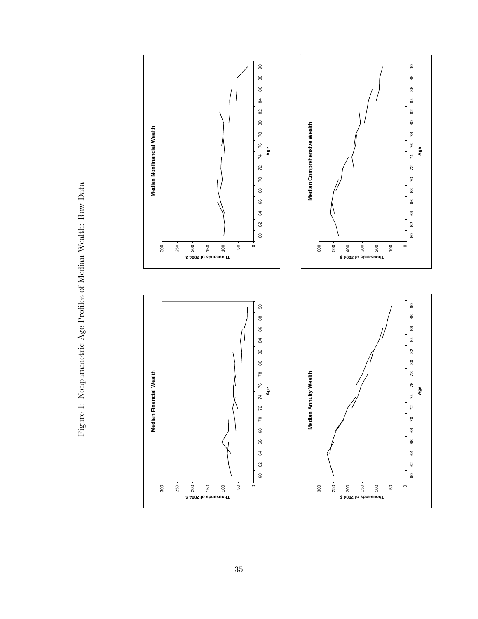

Figure 1: Nonparametric Age Profiles of Median Wealth: Raw Data Figure 1: Nonparametric Age Profiles of Median Wealth: Raw Data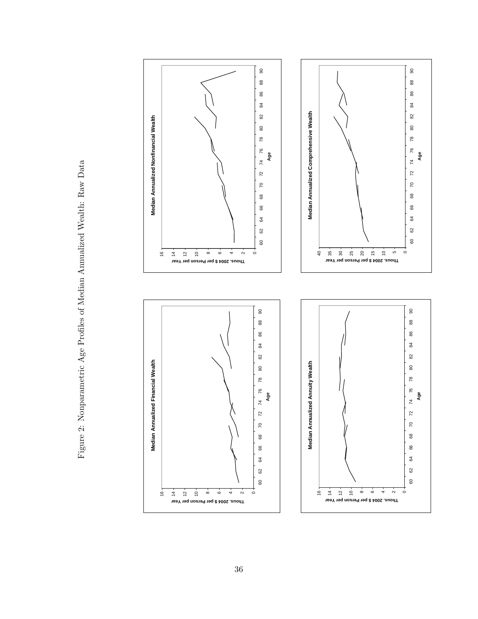

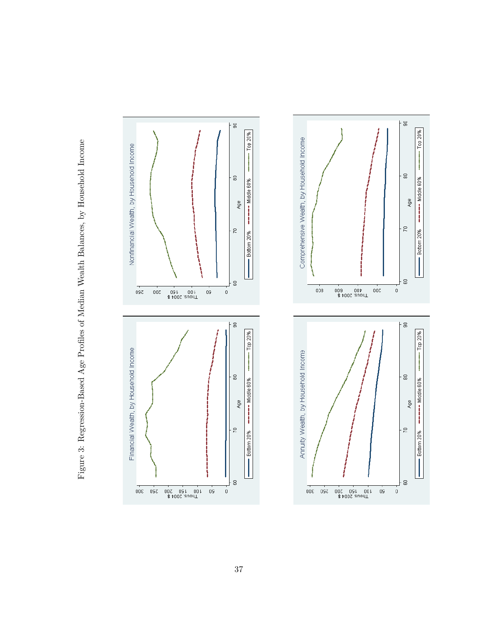



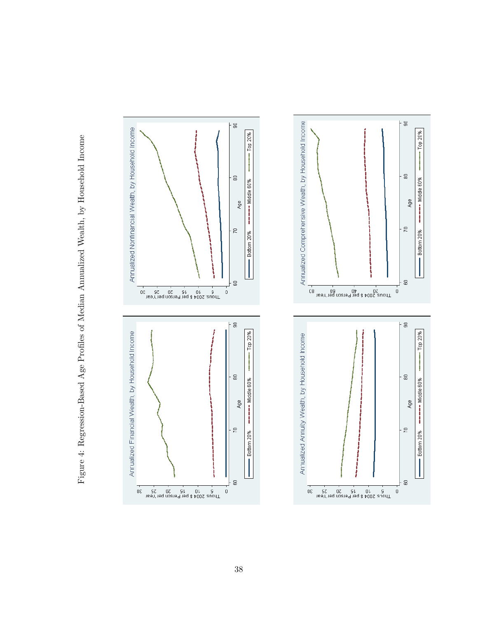



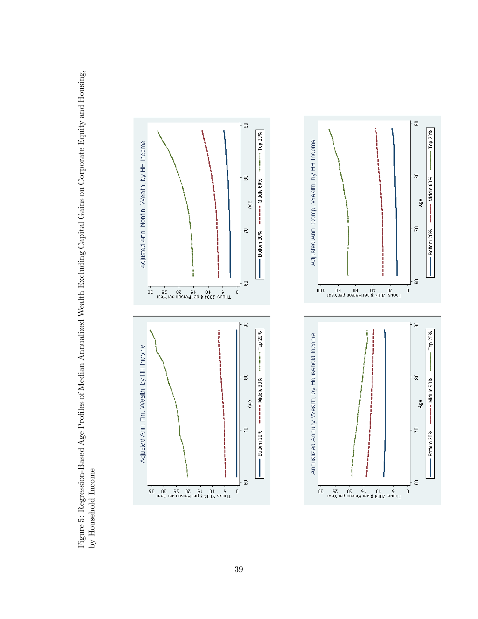Figure 5: Regression-Based Age Profiles of Median Annualized Wealth Excluding Capital Gains on Corporate Equity and Housing, Figure 5: Regression-Based Age Profiles of Median Annualized Wealth Excluding Capital Gains on Corporate Equity and Housing, by Household Income by Household Income



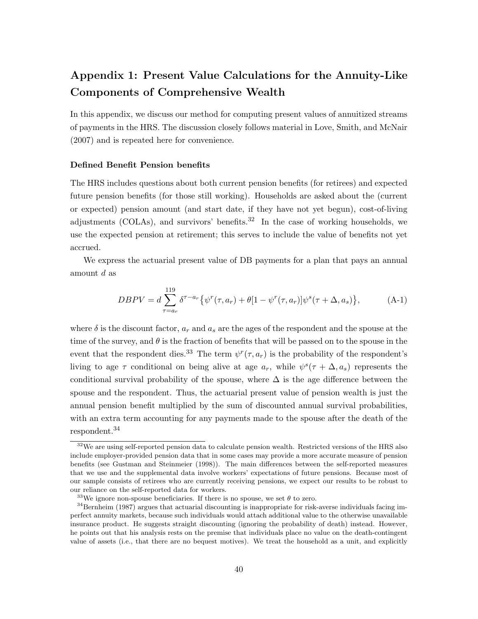# Appendix 1: Present Value Calculations for the Annuity-Like Components of Comprehensive Wealth

In this appendix, we discuss our method for computing present values of annuitized streams of payments in the HRS. The discussion closely follows material in Love, Smith, and McNair (2007) and is repeated here for convenience.

#### Defined Benefit Pension benefits

The HRS includes questions about both current pension benefits (for retirees) and expected future pension benefits (for those still working). Households are asked about the (current or expected) pension amount (and start date, if they have not yet begun), cost-of-living adjustments (COLAs), and survivors' benefits.<sup>32</sup> In the case of working households, we use the expected pension at retirement; this serves to include the value of benefits not yet accrued.

We express the actuarial present value of DB payments for a plan that pays an annual amount  $d$  as

$$
DBPV = d \sum_{\tau=a_r}^{119} \delta^{\tau-a_r} \{ \psi^r(\tau, a_r) + \theta [1 - \psi^r(\tau, a_r)] \psi^s(\tau + \Delta, a_s) \}, \tag{A-1}
$$

where  $\delta$  is the discount factor,  $a_r$  and  $a_s$  are the ages of the respondent and the spouse at the time of the survey, and  $\theta$  is the fraction of benefits that will be passed on to the spouse in the event that the respondent dies.<sup>33</sup> The term  $\psi^r(\tau, a_r)$  is the probability of the respondent's living to age  $\tau$  conditional on being alive at age  $a_r$ , while  $\psi^s(\tau + \Delta, a_s)$  represents the conditional survival probability of the spouse, where  $\Delta$  is the age difference between the spouse and the respondent. Thus, the actuarial present value of pension wealth is just the annual pension benefit multiplied by the sum of discounted annual survival probabilities, with an extra term accounting for any payments made to the spouse after the death of the respondent.<sup>34</sup>

<sup>32</sup>We are using self-reported pension data to calculate pension wealth. Restricted versions of the HRS also include employer-provided pension data that in some cases may provide a more accurate measure of pension benefits (see Gustman and Steinmeier (1998)). The main differences between the self-reported measures that we use and the supplemental data involve workers' expectations of future pensions. Because most of our sample consists of retirees who are currently receiving pensions, we expect our results to be robust to our reliance on the self-reported data for workers.

<sup>&</sup>lt;sup>33</sup>We ignore non-spouse beneficiaries. If there is no spouse, we set  $\theta$  to zero.

 $34$ Bernheim (1987) argues that actuarial discounting is inappropriate for risk-averse individuals facing imperfect annuity markets, because such individuals would attach additional value to the otherwise unavailable insurance product. He suggests straight discounting (ignoring the probability of death) instead. However, he points out that his analysis rests on the premise that individuals place no value on the death-contingent value of assets (i.e., that there are no bequest motives). We treat the household as a unit, and explicitly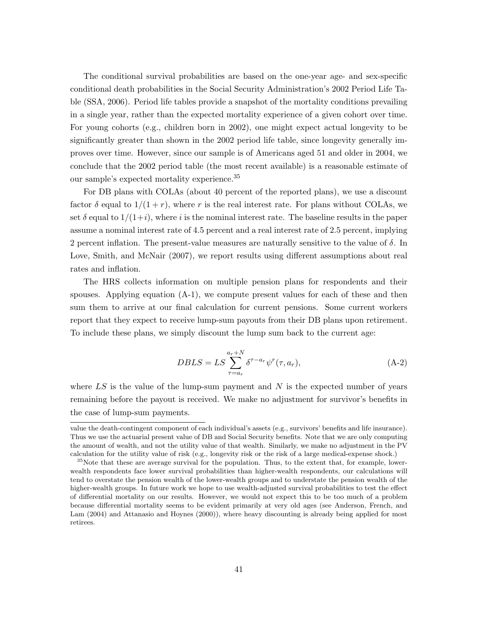The conditional survival probabilities are based on the one-year age- and sex-specific conditional death probabilities in the Social Security Administration's 2002 Period Life Table (SSA, 2006). Period life tables provide a snapshot of the mortality conditions prevailing in a single year, rather than the expected mortality experience of a given cohort over time. For young cohorts (e.g., children born in 2002), one might expect actual longevity to be significantly greater than shown in the 2002 period life table, since longevity generally improves over time. However, since our sample is of Americans aged 51 and older in 2004, we conclude that the 2002 period table (the most recent available) is a reasonable estimate of our sample's expected mortality experience.<sup>35</sup>

For DB plans with COLAs (about 40 percent of the reported plans), we use a discount factor  $\delta$  equal to  $1/(1+r)$ , where r is the real interest rate. For plans without COLAs, we set  $\delta$  equal to  $1/(1+i)$ , where i is the nominal interest rate. The baseline results in the paper assume a nominal interest rate of 4.5 percent and a real interest rate of 2.5 percent, implying 2 percent inflation. The present-value measures are naturally sensitive to the value of  $\delta$ . In Love, Smith, and McNair (2007), we report results using different assumptions about real rates and inflation.

The HRS collects information on multiple pension plans for respondents and their spouses. Applying equation (A-1), we compute present values for each of these and then sum them to arrive at our final calculation for current pensions. Some current workers report that they expect to receive lump-sum payouts from their DB plans upon retirement. To include these plans, we simply discount the lump sum back to the current age:

$$
DBLS = LS \sum_{\tau = a_r}^{a_r + N} \delta^{\tau - a_r} \psi^r(\tau, a_r), \tag{A-2}
$$

where  $LS$  is the value of the lump-sum payment and  $N$  is the expected number of years remaining before the payout is received. We make no adjustment for survivor's benefits in the case of lump-sum payments.

value the death-contingent component of each individual's assets (e.g., survivors' benefits and life insurance). Thus we use the actuarial present value of DB and Social Security benefits. Note that we are only computing the amount of wealth, and not the utility value of that wealth. Similarly, we make no adjustment in the PV calculation for the utility value of risk (e.g., longevity risk or the risk of a large medical-expense shock.)

<sup>&</sup>lt;sup>35</sup>Note that these are average survival for the population. Thus, to the extent that, for example, lowerwealth respondents face lower survival probabilities than higher-wealth respondents, our calculations will tend to overstate the pension wealth of the lower-wealth groups and to understate the pension wealth of the higher-wealth groups. In future work we hope to use wealth-adjusted survival probabilities to test the effect of differential mortality on our results. However, we would not expect this to be too much of a problem because differential mortality seems to be evident primarily at very old ages (see Anderson, French, and Lam (2004) and Attanasio and Hoynes (2000)), where heavy discounting is already being applied for most retirees.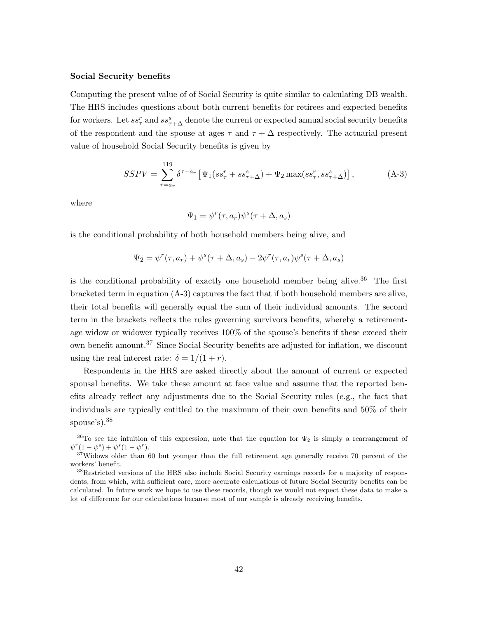#### Social Security benefits

Computing the present value of of Social Security is quite similar to calculating DB wealth. The HRS includes questions about both current benefits for retirees and expected benefits for workers. Let  $ss^r_\tau$  and  $ss^s_{\tau+\Delta}$  denote the current or expected annual social security benefits of the respondent and the spouse at ages  $\tau$  and  $\tau + \Delta$  respectively. The actuarial present value of household Social Security benefits is given by

$$
SSPV = \sum_{\tau = a_r}^{119} \delta^{\tau - a_r} \left[ \Psi_1(s s_\tau^r + s s_{\tau + \Delta}^s) + \Psi_2 \max(s s_\tau^r, s s_{\tau + \Delta}^s) \right], \tag{A-3}
$$

where

$$
\Psi_1 = \psi^r(\tau, a_r)\psi^s(\tau + \Delta, a_s)
$$

is the conditional probability of both household members being alive, and

$$
\Psi_2 = \psi^r(\tau, a_r) + \psi^s(\tau + \Delta, a_s) - 2\psi^r(\tau, a_r)\psi^s(\tau + \Delta, a_s)
$$

is the conditional probability of exactly one household member being alive.<sup>36</sup> The first bracketed term in equation (A-3) captures the fact that if both household members are alive, their total benefits will generally equal the sum of their individual amounts. The second term in the brackets reflects the rules governing survivors benefits, whereby a retirementage widow or widower typically receives 100% of the spouse's benefits if these exceed their own benefit amount.<sup>37</sup> Since Social Security benefits are adjusted for inflation, we discount using the real interest rate:  $\delta = 1/(1+r)$ .

Respondents in the HRS are asked directly about the amount of current or expected spousal benefits. We take these amount at face value and assume that the reported benefits already reflect any adjustments due to the Social Security rules (e.g., the fact that individuals are typically entitled to the maximum of their own benefits and 50% of their spouse's).<sup>38</sup>

<sup>&</sup>lt;sup>36</sup>To see the intuition of this expression, note that the equation for  $\Psi_2$  is simply a rearrangement of  $\psi^{r}(1-\psi^{s}) + \psi^{s}(1-\psi^{r}).$ 

<sup>&</sup>lt;sup>37</sup>Widows older than 60 but younger than the full retirement age generally receive 70 percent of the workers' benefit.

<sup>38</sup>Restricted versions of the HRS also include Social Security earnings records for a majority of respondents, from which, with sufficient care, more accurate calculations of future Social Security benefits can be calculated. In future work we hope to use these records, though we would not expect these data to make a lot of difference for our calculations because most of our sample is already receiving benefits.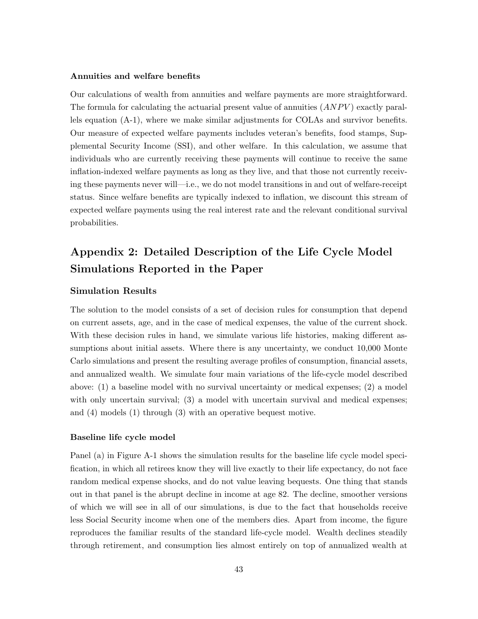#### Annuities and welfare benefits

Our calculations of wealth from annuities and welfare payments are more straightforward. The formula for calculating the actuarial present value of annuities  $(ANPV)$  exactly parallels equation (A-1), where we make similar adjustments for COLAs and survivor benefits. Our measure of expected welfare payments includes veteran's benefits, food stamps, Supplemental Security Income (SSI), and other welfare. In this calculation, we assume that individuals who are currently receiving these payments will continue to receive the same inflation-indexed welfare payments as long as they live, and that those not currently receiving these payments never will—i.e., we do not model transitions in and out of welfare-receipt status. Since welfare benefits are typically indexed to inflation, we discount this stream of expected welfare payments using the real interest rate and the relevant conditional survival probabilities.

# Appendix 2: Detailed Description of the Life Cycle Model Simulations Reported in the Paper

#### Simulation Results

The solution to the model consists of a set of decision rules for consumption that depend on current assets, age, and in the case of medical expenses, the value of the current shock. With these decision rules in hand, we simulate various life histories, making different assumptions about initial assets. Where there is any uncertainty, we conduct 10,000 Monte Carlo simulations and present the resulting average profiles of consumption, financial assets, and annualized wealth. We simulate four main variations of the life-cycle model described above: (1) a baseline model with no survival uncertainty or medical expenses; (2) a model with only uncertain survival; (3) a model with uncertain survival and medical expenses; and (4) models (1) through (3) with an operative bequest motive.

#### Baseline life cycle model

Panel (a) in Figure A-1 shows the simulation results for the baseline life cycle model specification, in which all retirees know they will live exactly to their life expectancy, do not face random medical expense shocks, and do not value leaving bequests. One thing that stands out in that panel is the abrupt decline in income at age 82. The decline, smoother versions of which we will see in all of our simulations, is due to the fact that households receive less Social Security income when one of the members dies. Apart from income, the figure reproduces the familiar results of the standard life-cycle model. Wealth declines steadily through retirement, and consumption lies almost entirely on top of annualized wealth at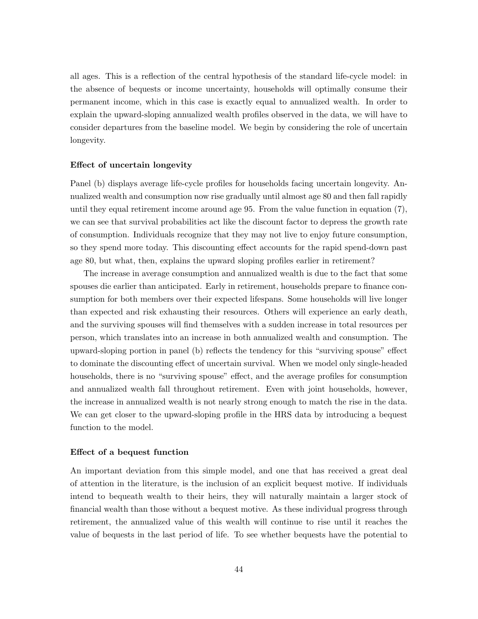all ages. This is a reflection of the central hypothesis of the standard life-cycle model: in the absence of bequests or income uncertainty, households will optimally consume their permanent income, which in this case is exactly equal to annualized wealth. In order to explain the upward-sloping annualized wealth profiles observed in the data, we will have to consider departures from the baseline model. We begin by considering the role of uncertain longevity.

#### Effect of uncertain longevity

Panel (b) displays average life-cycle profiles for households facing uncertain longevity. Annualized wealth and consumption now rise gradually until almost age 80 and then fall rapidly until they equal retirement income around age 95. From the value function in equation (7), we can see that survival probabilities act like the discount factor to depress the growth rate of consumption. Individuals recognize that they may not live to enjoy future consumption, so they spend more today. This discounting effect accounts for the rapid spend-down past age 80, but what, then, explains the upward sloping profiles earlier in retirement?

The increase in average consumption and annualized wealth is due to the fact that some spouses die earlier than anticipated. Early in retirement, households prepare to finance consumption for both members over their expected lifespans. Some households will live longer than expected and risk exhausting their resources. Others will experience an early death, and the surviving spouses will find themselves with a sudden increase in total resources per person, which translates into an increase in both annualized wealth and consumption. The upward-sloping portion in panel (b) reflects the tendency for this "surviving spouse" effect to dominate the discounting effect of uncertain survival. When we model only single-headed households, there is no "surviving spouse" effect, and the average profiles for consumption and annualized wealth fall throughout retirement. Even with joint households, however, the increase in annualized wealth is not nearly strong enough to match the rise in the data. We can get closer to the upward-sloping profile in the HRS data by introducing a bequest function to the model.

#### Effect of a bequest function

An important deviation from this simple model, and one that has received a great deal of attention in the literature, is the inclusion of an explicit bequest motive. If individuals intend to bequeath wealth to their heirs, they will naturally maintain a larger stock of financial wealth than those without a bequest motive. As these individual progress through retirement, the annualized value of this wealth will continue to rise until it reaches the value of bequests in the last period of life. To see whether bequests have the potential to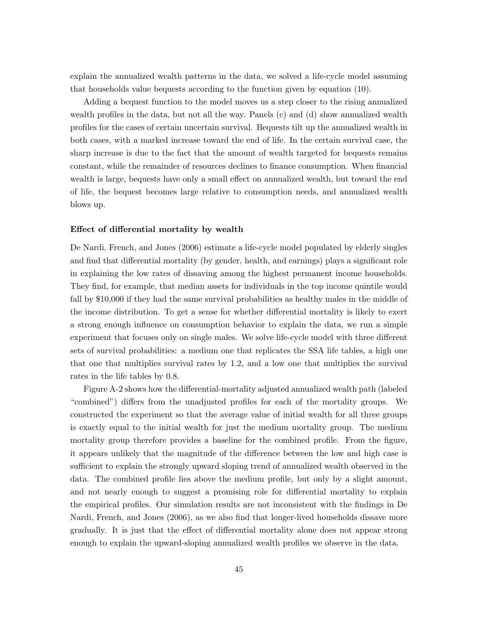explain the annualized wealth patterns in the data, we solved a life-cycle model assuming that households value bequests according to the function given by equation (10).

Adding a bequest function to the model moves us a step closer to the rising annualized wealth profiles in the data, but not all the way. Panels (c) and (d) show annualized wealth profiles for the cases of certain uncertain survival. Bequests tilt up the annualized wealth in both cases, with a marked increase toward the end of life. In the certain survival case, the sharp increase is due to the fact that the amount of wealth targeted for bequests remains constant, while the remainder of resources declines to finance consumption. When financial wealth is large, bequests have only a small effect on annualized wealth, but toward the end of life, the bequest becomes large relative to consumption needs, and annualized wealth blows up.

#### Effect of differential mortality by wealth

De Nardi, French, and Jones (2006) estimate a life-cycle model populated by elderly singles and find that differential mortality (by gender, health, and earnings) plays a significant role in explaining the low rates of dissaving among the highest permanent income households. They find, for example, that median assets for individuals in the top income quintile would fall by \$10,000 if they had the same survival probabilities as healthy males in the middle of the income distribution. To get a sense for whether differential mortality is likely to exert a strong enough influence on consumption behavior to explain the data, we run a simple experiment that focuses only on single males. We solve life-cycle model with three different sets of survival probabilities: a medium one that replicates the SSA life tables, a high one that one that multiplies survival rates by 1.2, and a low one that multiplies the survival rates in the life tables by 0.8.

Figure A-2 shows how the differential-mortality adjusted annualized wealth path (labeled "combined") differs from the unadjusted profiles for each of the mortality groups. We constructed the experiment so that the average value of initial wealth for all three groups is exactly equal to the initial wealth for just the medium mortality group. The medium mortality group therefore provides a baseline for the combined profile. From the figure, it appears unlikely that the magnitude of the difference between the low and high case is sufficient to explain the strongly upward sloping trend of annualized wealth observed in the data. The combined profile lies above the medium profile, but only by a slight amount, and not nearly enough to suggest a promising role for differential mortality to explain the empirical profiles. Our simulation results are not inconsistent with the findings in De Nardi, French, and Jones (2006), as we also find that longer-lived households dissave more gradually. It is just that the effect of differential mortality alone does not appear strong enough to explain the upward-sloping annualized wealth profiles we observe in the data.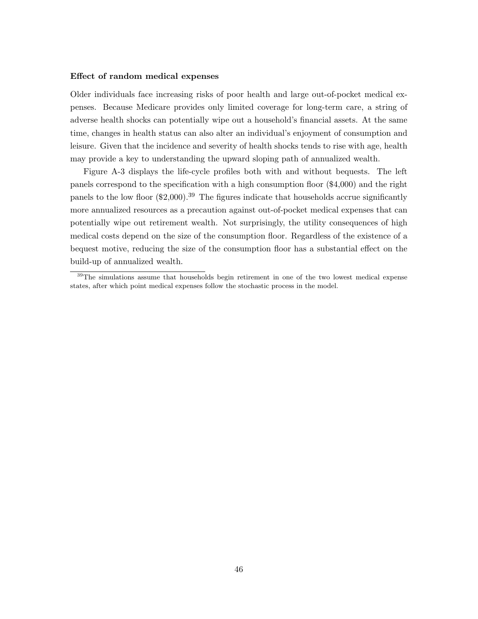#### Effect of random medical expenses

Older individuals face increasing risks of poor health and large out-of-pocket medical expenses. Because Medicare provides only limited coverage for long-term care, a string of adverse health shocks can potentially wipe out a household's financial assets. At the same time, changes in health status can also alter an individual's enjoyment of consumption and leisure. Given that the incidence and severity of health shocks tends to rise with age, health may provide a key to understanding the upward sloping path of annualized wealth.

Figure A-3 displays the life-cycle profiles both with and without bequests. The left panels correspond to the specification with a high consumption floor (\$4,000) and the right panels to the low floor  $(\$2,000).^{39}$  The figures indicate that households accrue significantly more annualized resources as a precaution against out-of-pocket medical expenses that can potentially wipe out retirement wealth. Not surprisingly, the utility consequences of high medical costs depend on the size of the consumption floor. Regardless of the existence of a bequest motive, reducing the size of the consumption floor has a substantial effect on the build-up of annualized wealth.

<sup>&</sup>lt;sup>39</sup>The simulations assume that households begin retirement in one of the two lowest medical expense states, after which point medical expenses follow the stochastic process in the model.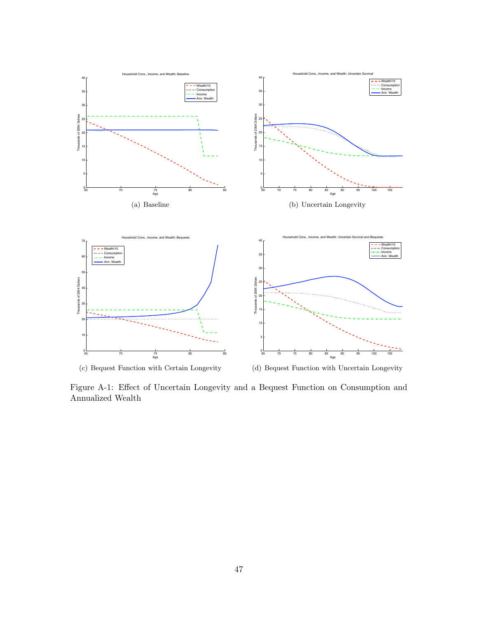

Figure A-1: Effect of Uncertain Longevity and a Bequest Function on Consumption and Annualized Wealth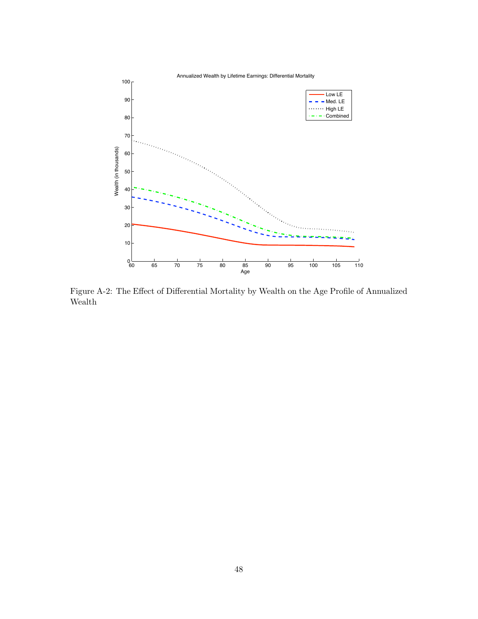

Figure A-2: The Effect of Differential Mortality by Wealth on the Age Profile of Annualized Wealth